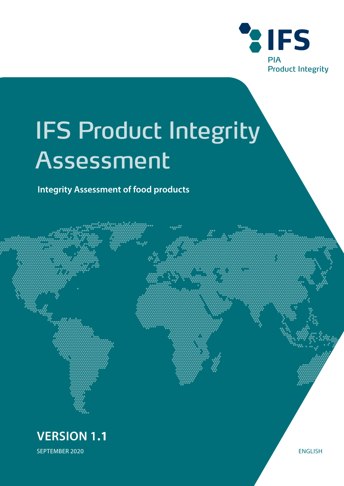

# IFS Product Integrity Assessment

**Integrity Assessment of food products**



SEPTEMBER 2020

ENGLISH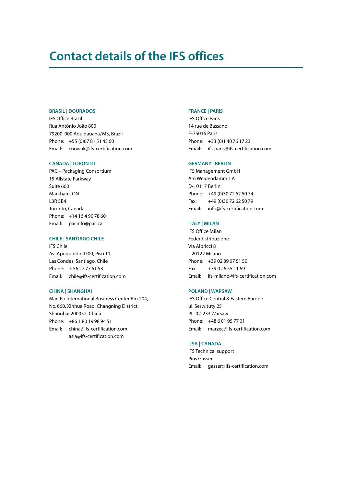# **Contact details of the IFS offices**

#### **BRASIL | DOURADOS**

IFS Office Brazil Rua Antônio João 800 79200-000 Aquidauana/MS, Brazil Phone: +55 (0)67 81 51 45 60 Email: cnowak@ifs-certification.com

#### **CANADA | TORONTO**

PAC – Packaging Consortium 15 Allstate Parkway Suite 600 Markham, ON L3R 5B4 Toronto, Canada Phone: +14 16 4 90 78 60 Email: pacinfo@pac.ca

#### **CHILE | SANTIAGO CHILE**

IFS Chile Av. Apoquindo 4700, Piso 11, Las Condes, Santiago, Chile Phone: + 56 27 77 61 53 Email: chile@ifs-certification.com

#### **CHINA | SHANGHAI**

Man Po International Business Center Rm 204, No.660, Xinhua Road, Changning District, Shanghai 200052, China Phone: +86 1 80 19 98 94 51 Email: china@ifs-certification.com asia@ifs-certification.com

#### **FRANCE | PARIS**

IFS Office Paris 14 rue de Bassano F-75016 Paris Phone: +33 (0)1 40 76 17 23 Email: ifs-paris@ifs-certification.com

#### **GERMANY | BERLIN**

IFS Management GmbH Am Weidendamm 1A D-10117 Berlin Phone: +49 (0)30 72 62 50 74 Fax: +49 (0)30 72 62 50 79 Email: info@ifs-certification.com

#### **ITALY | MILAN**

IFS Office Milan Federdistribuzione Via Albricci 8 I-20122 Milano Phone: +39 02 89 07 51 50 Fax: +39 02 6 55 11 69 Email: ifs-milano@ifs-certification.com

#### **POLAND | WARSAW**

IFS Office Central & Eastern Europe ul. Serwituty 25 PL-02-233 Warsaw Phone: +48 6 01 95 77 01 Email: marzec@ifs-certification.com

#### **USA | CANADA**

IFS Technical support Pius Gasser Email: gasser@ifs-certification.com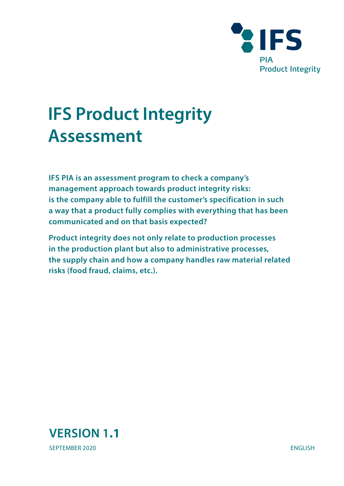

# **IFS Product Integrity Assessment**

**IFS PIA is an assessment program to check a company's management approach towards product integrity risks: is the company able to fulfill the customer's specification in such a way that a product fully complies with everything that has been communicated and on that basis expected?**

**Product integrity does not only relate to production processes in the production plant but also to administrative processes, the supply chain and how a company handles raw material related risks (food fraud, claims, etc.).**



ENGLISH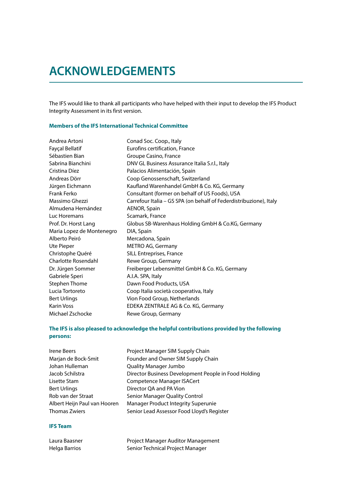# **ACKNOWLEDGEMENTS**

The IFS would like to thank all participants who have helped with their input to develop the IFS Product Integrity Assessment in its first version.

#### **Members of the IFS International Technical Committee**

Andrea Artoni Conad Soc. Coop., Italy Fayçal Bellatif **Eurofins certification**, France Sébastien Bian Groupe Casino, France Sabrina Bianchini DNV GL Business Assurance Italia S.r.l., Italy Cristina Díez Palacios Alimentación, Spain Andreas Dörr Coop Genossenschaft, Switzerland Jürgen Eichmann Kaufland Warenhandel GmbH & Co. KG, Germany Frank Ferko Consultant (former on behalf of US Foods), USA Massimo Ghezzi Carrefour Italia – GS SPA (on behalf of Federdistribuzione), Italy Almudena Hernández AENOR, Spain Luc Horemans Scamark, France Prof. Dr. Horst Lang Globus SB-Warenhaus Holding GmbH & Co.KG, Germany Maria Lopez de Montenegro DIA, Spain Alberto Peiró **Mercadona**, Spain Ute Pieper METRO AG, Germany Christophe Quéré SILL Entreprises, France Charlotte Rosendahl Rewe Group, Germany Dr. Jürgen Sommer Freiberger Lebensmittel GmbH & Co. KG, Germany Gabriele Speri A.I.A. SPA, Italy Stephen Thome Dawn Food Products, USA Lucia Tortoreto Coop Italia società cooperativa, Italy Bert Urlings **Vion Food Group, Netherlands** Karin Voss **EDEKA ZENTRALE AG & Co. KG, Germany** Michael Zschocke Rewe Group, Germany

#### **The IFS is also pleased to acknowledge the helpful contributions provided by the following persons:**

| Irene Beers                  | Project Manager SIM Supply Chain                     |
|------------------------------|------------------------------------------------------|
| Marjan de Bock-Smit          | Founder and Owner SIM Supply Chain                   |
| Johan Hulleman               | <b>Quality Manager Jumbo</b>                         |
| Jacob Schilstra              | Director Business Development People in Food Holding |
| Lisette Stam                 | <b>Competence Manager ISACert</b>                    |
| <b>Bert Urlings</b>          | Director QA and PA Vion                              |
| Rob van der Straat           | Senior Manager Quality Control                       |
| Albert Heijn Paul van Hooren | Manager Product Integrity Superunie                  |
| Thomas Zwiers                | Senior Lead Assessor Food Lloyd's Register           |
|                              |                                                      |

#### **IFS Team**

Laura Baasner **National State Beatity** Project Manager Auditor Management Helga Barrios Senior Technical Project Manager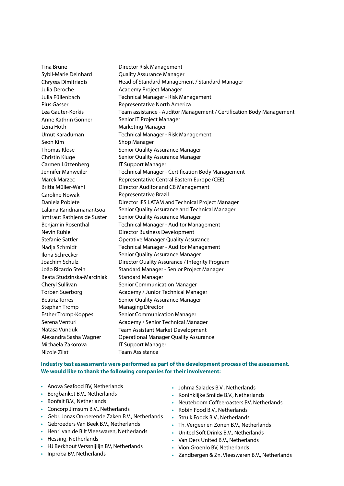Tina Brune **Director Risk Management** Sybil-Marie Deinhard Quality Assurance Manager Chryssa Dimitriadis Head of Standard Management / Standard Manager Julia Deroche Academy Project Manager Julia Füllenbach Technical Manager - Risk Management Pius Gasser Representative North America Lea Gauter-Korkis Team assistance - Auditor Management / Certification Body Management Anne Kathrin Gönner Senior IT Project Manager Lena Hoth Marketing Manager Umut Karaduman Technical Manager - Risk Management Seon Kim Shop Manager **Thomas Klose** Senior Quality Assurance Manager **Christin Kluge** Senior Quality Assurance Manager Carmen Lützenberg IT Support Manager Technical Manager - Certification Body Management Jennifer Manweiler Representative Central Eastern Europe (CEE) Marek Marzec Britta Müller-Wahl Director Auditor and CB Management Representative Brazil Caroline Nowak Director IFS LATAM and Technical Project Manager Daniela Poblete Lalaina Randriamanantsoa Senior Quality Assurance and Technical Manager Senior Quality Assurance Manager Irmtraut Rathjens de Suster Benjamin Rosenthal Technical Manager - Auditor Management Nevin Rühle Director Business Development Stefanie Sattler Operative Manager Quality Assurance Technical Manager - Auditor Management Nadja Schmidt Ilona Schrecker Senior Quality Assurance Manager Joachim Schulz Director Quality Assurance / Integrity Program João Ricardo Stein Standard Manager - Senior Project Manager Beata Studzinska-Marciniak Standard Manager Cheryl Sullivan Senior Communication Manager Torben Suerbora Academy / Junior Technical Manager **Beatriz Torres** Senior Quality Assurance Manager **Stephan Tromp** Managing Director **Esther Tromp-Koppes** Senior Communication Manager Serena Venturi Academy / Senior Technical Manager Natasa Vunduk Team Assistant Market Development Alexandra Sasha Wagner Operational Manager Quality Assurance Michaela Zakorova IT Support Manager Nicole Zilat Team Assistance

#### **Industry test assessments were performed as part of the development process of the assessment. We would like to thank the following companies for their involvement:**

- **•** Anova Seafood BV, Netherlands
- **•** Bergbanket B.V., Netherlands
- **•** Bonfait B.V., Netherlands
- **•** Concorp Jirnsum B.V., Netherlands
- **•** Gebr. Jonas Onroerende Zaken B.V., Netherlands
- **•** Gebroeders Van Beek B.V., Netherlands
- **•** Henri van de Bilt Vleeswaren, Netherlands
- **•** Hessing, Netherlands
- **•** HJ Berkhout Verssnijlijn BV, Netherlands
- **•** Inproba BV, Netherlands
- **•** Johma Salades B.V., Netherlands
- **•** Koninklijke Smilde B.V., Netherlands
- **•** Neuteboom Coffeeroasters BV, Netherlands
- **•** Robin Food B.V., Netherlands
- **•** Struik Foods B.V., Netherlands
- **•** Th. Vergeer en Zonen B.V., Netherlands
- **•** United Soft Drinks B.V., Netherlands
- **•** Van Oers United B.V., Netherlands
- **•** Vion Groenlo BV, Netherlands
- **•** Zandbergen & Zn. Vleeswaren B.V., Netherlands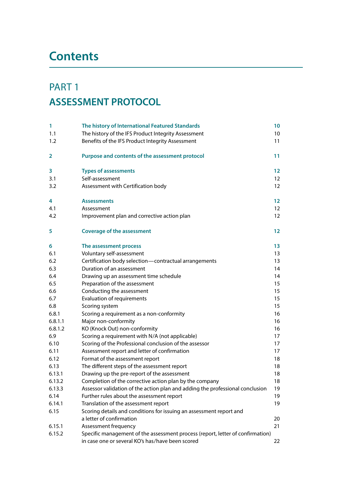# **Contents**

# [PART 1](#page-11-0) **[ASSESSMENT PROTOCOL](#page-11-0)**

| 1       | The history of International Featured Standards                                | 10                |
|---------|--------------------------------------------------------------------------------|-------------------|
| 1.1     | The history of the IFS Product Integrity Assessment                            | 10 <sup>°</sup>   |
| 1.2     | Benefits of the IFS Product Integrity Assessment                               | 11                |
| 2       | Purpose and contents of the assessment protocol                                | 11                |
| 3       | <b>Types of assessments</b>                                                    | 12 <sup>2</sup>   |
| 3.1     | Self-assessment                                                                | $12 \overline{ }$ |
| 3.2     | Assessment with Certification body                                             | 12                |
| 4       | <b>Assessments</b>                                                             | $12 \overline{ }$ |
| 4.1     | Assessment                                                                     | 12 <sup>2</sup>   |
| 4.2     | Improvement plan and corrective action plan                                    | $12 \overline{ }$ |
| 5       | <b>Coverage of the assessment</b>                                              | $12 \overline{ }$ |
| 6       | The assessment process                                                         | 13                |
| 6.1     | Voluntary self-assessment                                                      | 13                |
| 6.2     | Certification body selection-contractual arrangements                          | 13                |
| 6.3     | Duration of an assessment                                                      | 14                |
| 6.4     | Drawing up an assessment time schedule                                         | 14                |
| 6.5     | Preparation of the assessment                                                  | 15                |
| 6.6     | Conducting the assessment                                                      | 15                |
| 6.7     | <b>Evaluation of requirements</b>                                              | 15                |
| 6.8     | Scoring system                                                                 | 15                |
| 6.8.1   | Scoring a requirement as a non-conformity                                      | 16                |
| 6.8.1.1 | Major non-conformity                                                           | 16                |
| 6.8.1.2 | KO (Knock Out) non-conformity                                                  | 16                |
| 6.9     | Scoring a requirement with N/A (not applicable)                                | 17                |
| 6.10    | Scoring of the Professional conclusion of the assessor                         | 17                |
| 6.11    | Assessment report and letter of confirmation                                   | 17                |
| 6.12    | Format of the assessment report                                                | 18                |
| 6.13    | The different steps of the assessment report                                   | 18                |
| 6.13.1  | Drawing up the pre-report of the assessment                                    | 18                |
| 6.13.2  | Completion of the corrective action plan by the company                        | 18                |
| 6.13.3  | Assessor validation of the action plan and adding the professional conclusion  | 19                |
| 6.14    | Further rules about the assessment report                                      | 19                |
| 6.14.1  | Translation of the assessment report                                           | 19                |
| 6.15    | Scoring details and conditions for issuing an assessment report and            |                   |
|         | a letter of confirmation                                                       | 20                |
| 6.15.1  | Assessment frequency                                                           | 21                |
| 6.15.2  | Specific management of the assessment process (report, letter of confirmation) |                   |
|         | in case one or several KO's has/have been scored                               | 22                |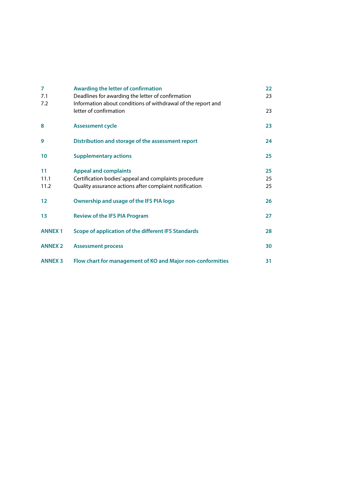| 7              | <b>Awarding the letter of confirmation</b>                   | 22 |
|----------------|--------------------------------------------------------------|----|
| 7.1            | Deadlines for awarding the letter of confirmation            | 23 |
| 7.2            | Information about conditions of withdrawal of the report and |    |
|                | letter of confirmation                                       | 23 |
| 8              | <b>Assessment cycle</b>                                      | 23 |
|                |                                                              |    |
| 9              | Distribution and storage of the assessment report            | 24 |
|                |                                                              |    |
| 10             | <b>Supplementary actions</b>                                 | 25 |
| 11             | <b>Appeal and complaints</b>                                 | 25 |
| 11.1           | Certification bodies' appeal and complaints procedure        | 25 |
| 11.2           | Quality assurance actions after complaint notification       | 25 |
|                |                                                              |    |
| 12             | Ownership and usage of the IFS PIA logo                      | 26 |
|                |                                                              |    |
| 13             | <b>Review of the IFS PIA Program</b>                         | 27 |
|                |                                                              |    |
| <b>ANNEX1</b>  | Scope of application of the different IFS Standards          | 28 |
| <b>ANNEX 2</b> | <b>Assessment process</b>                                    | 30 |
|                |                                                              |    |
| <b>ANNEX 3</b> | Flow chart for management of KO and Major non-conformities   | 31 |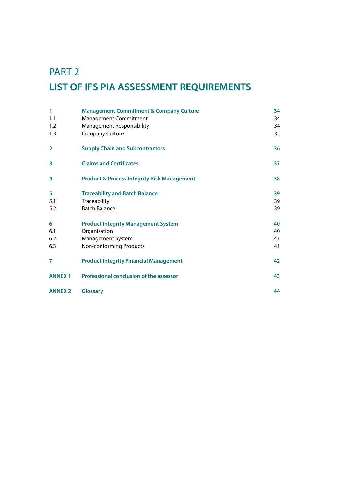# [PART 2](#page-35-0) **[LIST OF IFS PIA ASSESSMENT REQUIREMENTS](#page-35-0)**

| 1<br>1.1<br>1.2<br>1.3 | <b>Management Commitment &amp; Company Culture</b><br><b>Management Commitment</b><br><b>Management Responsibility</b><br>Company Culture | 34<br>34<br>34<br>35 |
|------------------------|-------------------------------------------------------------------------------------------------------------------------------------------|----------------------|
| $\overline{2}$         | <b>Supply Chain and Subcontractors</b>                                                                                                    | 36                   |
| 3                      | <b>Claims and Certificates</b>                                                                                                            | 37                   |
| 4                      | <b>Product &amp; Process Integrity Risk Management</b>                                                                                    | 38                   |
| 5<br>5.1<br>5.2        | <b>Traceability and Batch Balance</b><br>Traceability<br><b>Batch Balance</b>                                                             | 39<br>39<br>39       |
| 6<br>6.1<br>6.2<br>6.3 | <b>Product Integrity Management System</b><br>Organisation<br>Management System<br>Non-conforming Products                                | 40<br>40<br>41<br>41 |
| 7                      | <b>Product Integrity Financial Management</b>                                                                                             | 42                   |
| <b>ANNEX1</b>          | <b>Professional conclusion of the assessor</b>                                                                                            | 43                   |
| <b>ANNEX 2</b>         | <b>Glossary</b>                                                                                                                           | 44                   |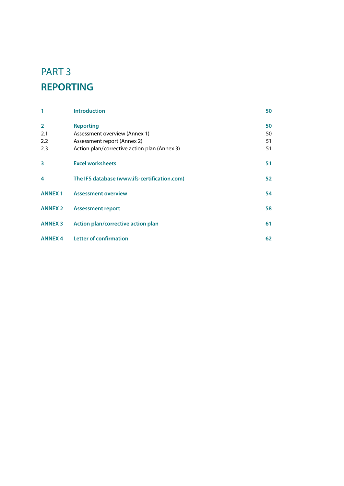# [PART 3](#page-51-0) **[REPORTING](#page-51-0)**

| 1              | <b>Introduction</b>                          | 50 |
|----------------|----------------------------------------------|----|
| $\overline{2}$ | <b>Reporting</b>                             | 50 |
| 2.1            | Assessment overview (Annex 1)                | 50 |
| 2.2            | Assessment report (Annex 2)                  | 51 |
| 2.3            | Action plan/corrective action plan (Annex 3) | 51 |
| 3              | <b>Excel worksheets</b>                      | 51 |
| 4              | The IFS database (www.ifs-certification.com) | 52 |
| <b>ANNEX 1</b> | <b>Assessment overview</b>                   | 54 |
| <b>ANNEX 2</b> | <b>Assessment report</b>                     | 58 |
| <b>ANNEX 3</b> | Action plan/corrective action plan           | 61 |
| <b>ANNEX 4</b> | <b>Letter of confirmation</b>                | 62 |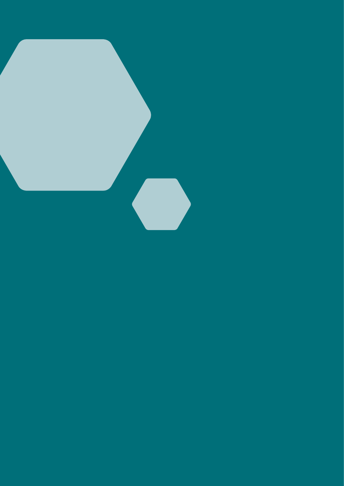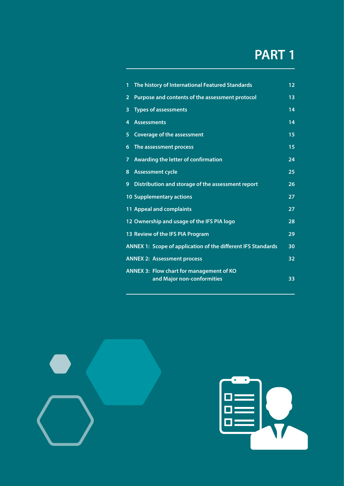# **PART 1**

| 1              | The history of International Featured Standards                        | 12 |
|----------------|------------------------------------------------------------------------|----|
| $\overline{2}$ | Purpose and contents of the assessment protocol                        | 13 |
| 3              | <b>Types of assessments</b>                                            | 14 |
| 4              | <b>Assessments</b>                                                     | 14 |
| 5              | <b>Coverage of the assessment</b>                                      | 15 |
| 6              | The assessment process                                                 | 15 |
| $\overline{7}$ | Awarding the letter of confirmation                                    | 24 |
| 8              | <b>Assessment cycle</b>                                                | 25 |
| 9              | Distribution and storage of the assessment report                      | 26 |
|                | <b>10 Supplementary actions</b>                                        | 27 |
|                | <b>11 Appeal and complaints</b>                                        | 27 |
|                | 12 Ownership and usage of the IFS PIA logo                             | 28 |
|                | 13 Review of the IFS PIA Program                                       | 29 |
|                | <b>ANNEX 1: Scope of application of the different IFS Standards</b>    | 30 |
|                | <b>ANNEX 2: Assessment process</b>                                     | 32 |
|                | ANNEX 3: Flow chart for management of KO<br>and Major non-conformities | 33 |
|                |                                                                        |    |



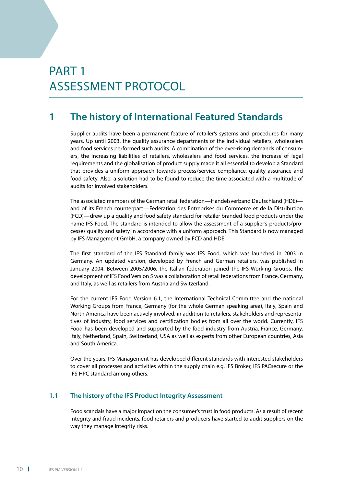# <span id="page-11-0"></span>**1 The history of International Featured Standards**

Supplier audits have been a permanent feature of retailer's systems and procedures for many years. Up until 2003, the quality assurance departments of the individual retailers, wholesalers and food services performed such audits. A combination of the ever-rising demands of consumers, the increasing liabilities of retailers, wholesalers and food services, the increase of legal requirements and the globalisation of product supply made it all essential to develop a Standard that provides a uniform approach towards process/service compliance, quality assurance and food safety. Also, a solution had to be found to reduce the time associated with a multitude of audits for involved stakeholders.

The associated members of the German retail federation—Handelsverband Deutschland (HDE) and of its French counterpart—Fédération des Entreprises du Commerce et de la Distribution (FCD)—drew up a quality and food safety standard for retailer branded food products under the name IFS Food. The standard is intended to allow the assessment of a supplier's products/processes quality and safety in accordance with a uniform approach. This Standard is now managed by IFS Management GmbH, a company owned by FCD and HDE.

The first standard of the IFS Standard family was IFS Food, which was launched in 2003 in Germany. An updated version, developed by French and German retailers, was published in January 2004. Between 2005/2006, the Italian federation joined the IFS Working Groups. The development of IFS Food Version 5 was a collaboration of retail federations from France, Germany, and Italy, as well as retailers from Austria and Switzerland.

For the current IFS Food Version 6.1, the International Technical Committee and the national Working Groups from France, Germany (for the whole German speaking area), Italy, Spain and North America have been actively involved, in addition to retailers, stakeholders and representatives of industry, food services and certification bodies from all over the world. Currently, IFS Food has been developed and supported by the food industry from Austria, France, Germany, Italy, Netherland, Spain, Switzerland, USA as well as experts from other European countries, Asia and South America.

Over the years, IFS Management has developed different standards with interested stakeholders to cover all processes and activities within the supply chain e.g. IFS Broker, IFS PACsecure or the IFS HPC standard among others.

#### **1.1 The history of the IFS Product Integrity Assessment**

Food scandals have a major impact on the consumer's trust in food products. As a result of recent integrity and fraud incidents, food retailers and producers have started to audit suppliers on the way they manage integrity risks.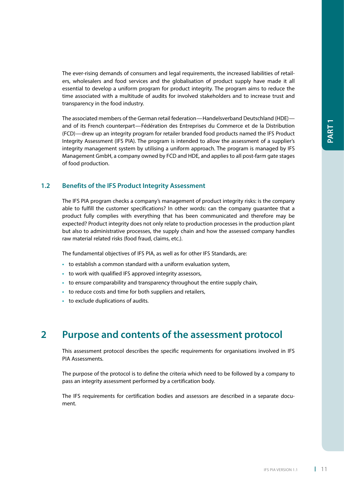<span id="page-12-0"></span>The ever-rising demands of consumers and legal requirements, the increased liabilities of retailers, wholesalers and food services and the globalisation of product supply have made it all essential to develop a uniform program for product integrity. The program aims to reduce the time associated with a multitude of audits for involved stakeholders and to increase trust and transparency in the food industry.

The associated members of the German retail federation—Handelsverband Deutschland (HDE) and of its French counterpart—Fédération des Entreprises du Commerce et de la Distribution (FCD)—drew up an integrity program for retailer branded food products named the IFS Product Integrity Assessment (IFS PIA). The program is intended to allow the assessment of a supplier's integrity management system by utilising a uniform approach. The program is managed by IFS Management GmbH, a company owned by FCD and HDE, and applies to all post-farm gate stages of food production.

#### **1.2 Benefits of the IFS Product Integrity Assessment**

The IFS PIA program checks a company's management of product integrity risks: is the company able to fulfill the customer specifications? In other words: can the company guarantee that a product fully complies with everything that has been communicated and therefore may be expected? Product integrity does not only relate to production processes in the production plant but also to administrative processes, the supply chain and how the assessed company handles raw material related risks (food fraud, claims, etc.).

The fundamental objectives of IFS PIA, as well as for other IFS Standards, are:

- **•** to establish a common standard with a uniform evaluation system,
- **•** to work with qualified IFS approved integrity assessors,
- **•** to ensure comparability and transparency throughout the entire supply chain,
- **•** to reduce costs and time for both suppliers and retailers,
- **•** to exclude duplications of audits.

### **2 Purpose and contents of the assessment protocol**

This assessment protocol describes the specific requirements for organisations involved in IFS PIA Assessments.

The purpose of the protocol is to define the criteria which need to be followed by a company to pass an integrity assessment performed by a certification body.

The IFS requirements for certification bodies and assessors are described in a separate document.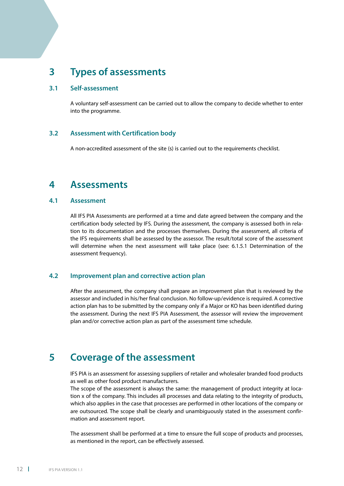### <span id="page-13-0"></span>**3 Types of assessments**

#### **3.1 Self-assessment**

A voluntary self-assessment can be carried out to allow the company to decide whether to enter into the programme.

#### **3.2 Assessment with Certification body**

A non-accredited assessment of the site (s) is carried out to the requirements checklist.

### **4 Assessments**

#### **4.1 Assessment**

All IFS PIA Assessments are performed at a time and date agreed between the company and the certification body selected by IFS. During the assessment, the company is assessed both in relation to its documentation and the processes themselves. During the assessment, all criteria of the IFS requirements shall be assessed by the assessor. The result/total score of the assessment will determine when the next assessment will take place (see: 6.1.5.1 Determination of the assessment frequency).

#### **4.2 Improvement plan and corrective action plan**

After the assessment, the company shall prepare an improvement plan that is reviewed by the assessor and included in his/her final conclusion. No follow-up/evidence is required. A corrective action plan has to be submitted by the company only if a Major or KO has been identified during the assessment. During the next IFS PIA Assessment, the assessor will review the improvement plan and/or corrective action plan as part of the assessment time schedule.

### **5 Coverage of the assessment**

IFS PIA is an assessment for assessing suppliers of retailer and wholesaler branded food products as well as other food product manufacturers.

The scope of the assessment is always the same: the management of product integrity at location x of the company. This includes all processes and data relating to the integrity of products, which also applies in the case that processes are performed in other locations of the company or are outsourced. The scope shall be clearly and unambiguously stated in the assessment confirmation and assessment report.

The assessment shall be performed at a time to ensure the full scope of products and processes, as mentioned in the report, can be effectively assessed.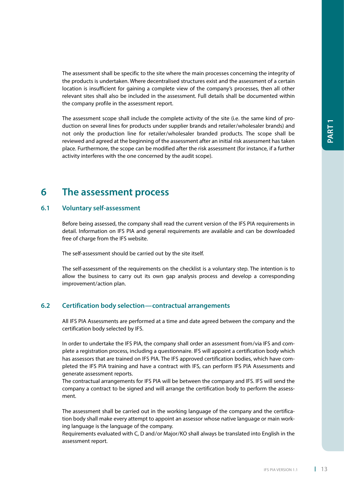<span id="page-14-0"></span>The assessment shall be specific to the site where the main processes concerning the integrity of the products is undertaken. Where decentralised structures exist and the assessment of a certain location is insufficient for gaining a complete view of the company's processes, then all other relevant sites shall also be included in the assessment. Full details shall be documented within the company profile in the assessment report.

The assessment scope shall include the complete activity of the site (i.e. the same kind of production on several lines for products under supplier brands and retailer/wholesaler brands) and not only the production line for retailer/wholesaler branded products. The scope shall be reviewed and agreed at the beginning of the assessment after an initial risk assessment has taken place. Furthermore, the scope can be modified after the risk assessment (for instance, if a further activity interferes with the one concerned by the audit scope).

### **6 The assessment process**

#### **6.1 Voluntary self-assessment**

Before being assessed, the company shall read the current version of the IFS PIA requirements in detail. Information on IFS PIA and general requirements are available and can be downloaded free of charge from the IFS website.

The self-assessment should be carried out by the site itself.

The self-assessment of the requirements on the checklist is a voluntary step. The intention is to allow the business to carry out its own gap analysis process and develop a corresponding improvement/action plan.

#### **6.2 Certification body selection—contractual arrangements**

All IFS PIA Assessments are performed at a time and date agreed between the company and the certification body selected by IFS.

In order to undertake the IFS PIA, the company shall order an assessment from/via IFS and complete a registration process, including a questionnaire. IFS will appoint a certification body which has assessors that are trained on IFS PIA. The IFS approved certification bodies, which have completed the IFS PIA training and have a contract with IFS, can perform IFS PIA Assessments and generate assessment reports.

The contractual arrangements for IFS PIA will be between the company and IFS. IFS will send the company a contract to be signed and will arrange the certification body to perform the assessment.

The assessment shall be carried out in the working language of the company and the certification body shall make every attempt to appoint an assessor whose native language or main working language is the language of the company.

Requirements evaluated with C, D and/or Major/KO shall always be translated into English in the assessment report.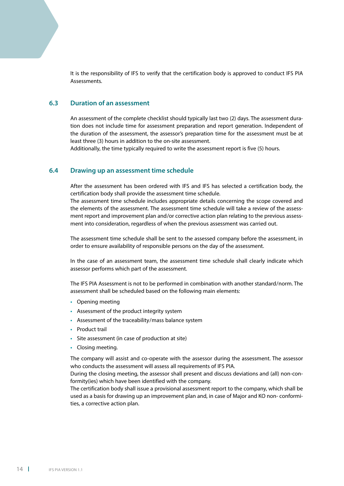<span id="page-15-0"></span>It is the responsibility of IFS to verify that the certification body is approved to conduct IFS PIA Assessments.

#### **6.3 Duration of an assessment**

An assessment of the complete checklist should typically last two (2) days. The assessment duration does not include time for assessment preparation and report generation. Independent of the duration of the assessment, the assessor's preparation time for the assessment must be at least three (3) hours in addition to the on-site assessment.

Additionally, the time typically required to write the assessment report is five (5) hours.

#### **6.4 Drawing up an assessment time schedule**

After the assessment has been ordered with IFS and IFS has selected a certification body, the certification body shall provide the assessment time schedule.

The assessment time schedule includes appropriate details concerning the scope covered and the elements of the assessment. The assessment time schedule will take a review of the assessment report and improvement plan and/or corrective action plan relating to the previous assessment into consideration, regardless of when the previous assessment was carried out.

The assessment time schedule shall be sent to the assessed company before the assessment, in order to ensure availability of responsible persons on the day of the assessment.

In the case of an assessment team, the assessment time schedule shall clearly indicate which assessor performs which part of the assessment.

The IFS PIA Assessment is not to be performed in combination with another standard/norm. The assessment shall be scheduled based on the following main elements:

- **•** Opening meeting
- **•** Assessment of the product integrity system
- **•** Assessment of the traceability/mass balance system
- **•** Product trail
- **•** Site assessment (in case of production at site)
- **•** Closing meeting.

The company will assist and co-operate with the assessor during the assessment. The assessor who conducts the assessment will assess all requirements of IFS PIA.

During the closing meeting, the assessor shall present and discuss deviations and (all) non-conformity(ies) which have been identified with the company.

The certification body shall issue a provisional assessment report to the company, which shall be used as a basis for drawing up an improvement plan and, in case of Major and KO non- conformities, a corrective action plan.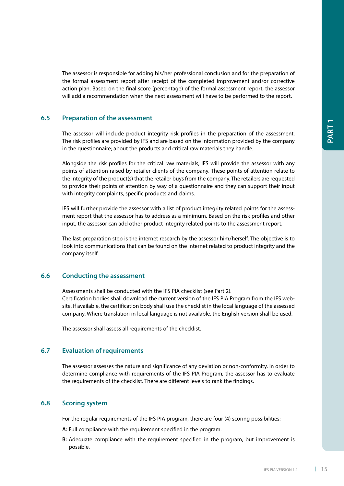<span id="page-16-0"></span>The assessor is responsible for adding his/her professional conclusion and for the preparation of the formal assessment report after receipt of the completed improvement and/or corrective action plan. Based on the final score (percentage) of the formal assessment report, the assessor will add a recommendation when the next assessment will have to be performed to the report.

#### **6.5 Preparation of the assessment**

The assessor will include product integrity risk profiles in the preparation of the assessment. The risk profiles are provided by IFS and are based on the information provided by the company in the questionnaire; about the products and critical raw materials they handle.

Alongside the risk profiles for the critical raw materials, IFS will provide the assessor with any points of attention raised by retailer clients of the company. These points of attention relate to the integrity of the product(s) that the retailer buys from the company. The retailers are requested to provide their points of attention by way of a questionnaire and they can support their input with integrity complaints, specific products and claims.

IFS will further provide the assessor with a list of product integrity related points for the assessment report that the assessor has to address as a minimum. Based on the risk profiles and other input, the assessor can add other product integrity related points to the assessment report.

The last preparation step is the internet research by the assessor him/herself. The objective is to look into communications that can be found on the internet related to product integrity and the company itself.

#### **6.6 Conducting the assessment**

Assessments shall be conducted with the IFS PIA checklist (see Part 2). Certification bodies shall download the current version of the IFS PIA Program from the IFS website. If available, the certification body shall use the checklist in the local language of the assessed company. Where translation in local language is not available, the English version shall be used.

The assessor shall assess all requirements of the checklist.

#### **6.7 Evaluation of requirements**

The assessor assesses the nature and significance of any deviation or non-conformity. In order to determine compliance with requirements of the IFS PIA Program, the assessor has to evaluate the requirements of the checklist. There are different levels to rank the findings.

#### **6.8 Scoring system**

For the regular requirements of the IFS PIA program, there are four (4) scoring possibilities:

**A:** Full compliance with the requirement specified in the program.

**B:** Adequate compliance with the requirement specified in the program, but improvement is possible.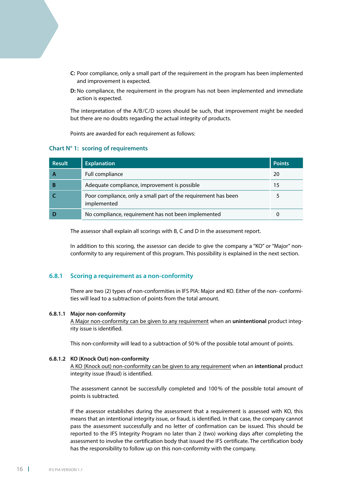- <span id="page-17-0"></span>**C:** Poor compliance, only a small part of the requirement in the program has been implemented and improvement is expected.
- **D:** No compliance, the requirement in the program has not been implemented and immediate action is expected.

The interpretation of the A/B/C/D scores should be such, that improvement might be needed but there are no doubts regarding the actual integrity of products.

Points are awarded for each requirement as follows:

#### **Chart N° 1: scoring of requirements**

| <b>Result</b> | <b>Explanation</b>                                                            | <b>Points</b> |
|---------------|-------------------------------------------------------------------------------|---------------|
| А             | Full compliance                                                               | 20            |
|               | Adequate compliance, improvement is possible                                  | 15            |
|               | Poor compliance, only a small part of the requirement has been<br>implemented |               |
|               | No compliance, requirement has not been implemented                           |               |

The assessor shall explain all scorings with B, C and D in the assessment report.

In addition to this scoring, the assessor can decide to give the company a "KO" or "Major" nonconformity to any requirement of this program. This possibility is explained in the next section.

#### **6.8.1 Scoring a requirement as a non-conformity**

There are two (2) types of non-conformities in IFS PIA: Major and KO. Either of the non- conformities will lead to a subtraction of points from the total amount.

#### **6.8.1.1 Major non-conformity**

A Major non-conformity can be given to any requirement when an **unintentional** product integrity issue is identified.

This non-conformity will lead to a subtraction of 50% of the possible total amount of points.

#### **6.8.1.2 KO (Knock Out) non-conformity**

A KO (Knock out) non-conformity can be given to any requirement when an **intentional** product integrity issue (fraud) is identified.

The assessment cannot be successfully completed and 100% of the possible total amount of points is subtracted.

If the assessor establishes during the assessment that a requirement is assessed with KO, this means that an intentional integrity issue, or fraud, is identified. In that case, the company cannot pass the assessment successfully and no letter of confirmation can be issued. This should be reported to the IFS Integrity Program no later than 2 (two) working days after completing the assessment to involve the certification body that issued the IFS certificate. The certification body has the responsibility to follow up on this non-conformity with the company.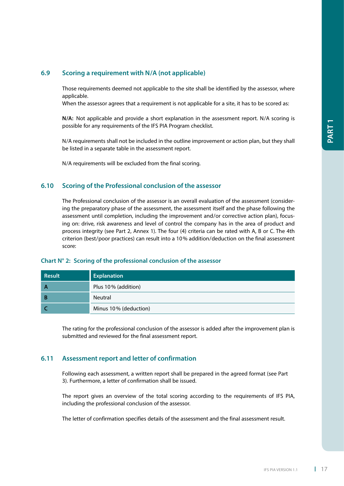#### <span id="page-18-0"></span>**6.9 Scoring a requirement with N/A (not applicable)**

Those requirements deemed not applicable to the site shall be identified by the assessor, where applicable.

When the assessor agrees that a requirement is not applicable for a site, it has to be scored as:

**N/A:** Not applicable and provide a short explanation in the assessment report. N/A scoring is possible for any requirements of the IFS PIA Program checklist.

N/A requirements shall not be included in the outline improvement or action plan, but they shall be listed in a separate table in the assessment report.

N/A requirements will be excluded from the final scoring.

#### **6.10 Scoring of the Professional conclusion of the assessor**

The Professional conclusion of the assessor is an overall evaluation of the assessment (considering the preparatory phase of the assessment, the assessment itself and the phase following the assessment until completion, including the improvement and/or corrective action plan), focusing on: drive, risk awareness and level of control the company has in the area of product and process integrity (see Part 2, Annex 1). The four (4) criteria can be rated with A, B or C. The 4th criterion (best/poor practices) can result into a 10% addition/deduction on the final assessment score:

#### **Chart N° 2: Scoring of the professional conclusion of the assessor**

| <b>Result</b>  | <b>Explanation</b>    |
|----------------|-----------------------|
| $\overline{A}$ | Plus 10% (addition)   |
|                | Neutral               |
|                | Minus 10% (deduction) |

The rating for the professional conclusion of the assessor is added after the improvement plan is submitted and reviewed for the final assessment report.

#### **6.11 Assessment report and letter of confirmation**

Following each assessment, a written report shall be prepared in the agreed format (see Part 3). Furthermore, a letter of confirmation shall be issued.

The report gives an overview of the total scoring according to the requirements of IFS PIA, including the professional conclusion of the assessor.

The letter of confirmation specifies details of the assessment and the final assessment result.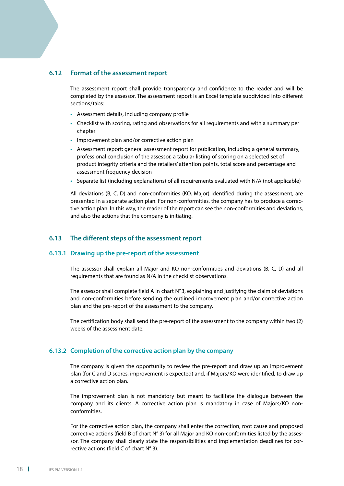#### <span id="page-19-0"></span>**6.12 Format of the assessment report**

The assessment report shall provide transparency and confidence to the reader and will be completed by the assessor. The assessment report is an Excel template subdivided into different sections/tabs:

- **•** Assessment details, including company profile
- **•** Checklist with scoring, rating and observations for all requirements and with a summary per chapter
- **•** Improvement plan and/or corrective action plan
- **•** Assessment report: general assessment report for publication, including a general summary, professional conclusion of the assessor, a tabular listing of scoring on a selected set of product integrity criteria and the retailers' attention points, total score and percentage and assessment frequency decision
- **•** Separate list (including explanations) of all requirements evaluated with N/A (not applicable)

All deviations (B, C, D) and non-conformities (KO, Major) identified during the assessment, are presented in a separate action plan. For non-conformities, the company has to produce a corrective action plan. In this way, the reader of the report can see the non-conformities and deviations, and also the actions that the company is initiating.

#### **6.13 The different steps of the assessment report**

#### **6.13.1 Drawing up the pre-report of the assessment**

The assessor shall explain all Major and KO non-conformities and deviations (B, C, D) and all requirements that are found as N/A in the checklist observations.

The assessor shall complete field A in chart  $N^{\circ}$  3, explaining and justifying the claim of deviations and non-conformities before sending the outlined improvement plan and/or corrective action plan and the pre-report of the assessment to the company.

The certification body shall send the pre-report of the assessment to the company within two (2) weeks of the assessment date.

#### **6.13.2 Completion of the corrective action plan by the company**

The company is given the opportunity to review the pre-report and draw up an improvement plan (for C and D scores, improvement is expected) and, if Majors/KO were identified, to draw up a corrective action plan.

The improvement plan is not mandatory but meant to facilitate the dialogue between the company and its clients. A corrective action plan is mandatory in case of Majors/KO nonconformities.

For the corrective action plan, the company shall enter the correction, root cause and proposed corrective actions (field B of chart N° 3) for all Major and KO non-conformities listed by the assessor. The company shall clearly state the responsibilities and implementation deadlines for corrective actions (field C of chart N° 3).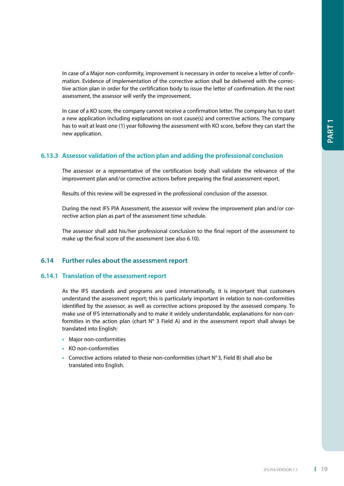<span id="page-20-0"></span>In case of a Major non-conformity, improvement is necessary in order to receive a letter of confirmation. Evidence of implementation of the corrective action shall be delivered with the corrective action plan in order for the certification body to issue the letter of confirmation. At the next assessment, the assessor will verify the improvement.

In case of a KO score, the company cannot receive a confirmation letter. The company has to start a new application including explanations on root cause(s) and corrective actions. The company has to wait at least one (1) year following the assessment with KO score, before they can start the new application.

#### **6.13.3 Assessor validation of the action plan and adding the professional conclusion**

The assessor or a representative of the certification body shall validate the relevance of the improvement plan and/or corrective actions before preparing the final assessment report.

Results of this review will be expressed in the professional conclusion of the assessor.

During the next IFS PIA Assessment, the assessor will review the improvement plan and/or corrective action plan as part of the assessment time schedule.

The assessor shall add his/her professional conclusion to the final report of the assessment to make up the final score of the assessment (see also 6.10).

#### **6.14 Further rules about the assessment report**

#### **6.14.1 Translation of the assessment report**

As the IFS standards and programs are used internationally, it is important that customers understand the assessment report; this is particularly important in relation to non-conformities identified by the assessor, as well as corrective actions proposed by the assessed company. To make use of IFS internationally and to make it widely understandable, explanations for non-conformities in the action plan (chart  $N^{\circ}$  3 Field A) and in the assessment report shall always be translated into English:

- **•** Major non-conformities
- **•** KO non-conformities
- **•** Corrective actions related to these non-conformities (chart N°3, Field B) shall also be translated into English.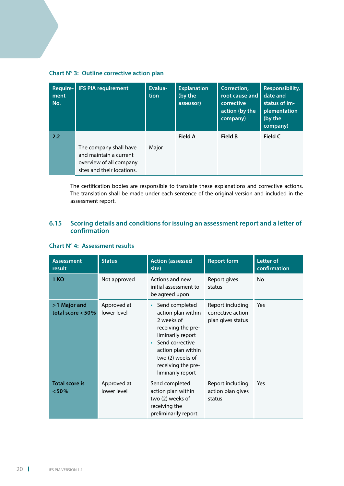| Require-<br>ment<br>No. | <b>IFS PIA requirement</b>                                                                                | Evalua-<br>tion | <b>Explanation</b><br>(by the<br>assessor) | Correction,<br>root cause and I<br>corrective<br>action (by the<br>company) | Responsibility,<br>date and<br>status of im-<br>plementation<br>(by the<br>company) |
|-------------------------|-----------------------------------------------------------------------------------------------------------|-----------------|--------------------------------------------|-----------------------------------------------------------------------------|-------------------------------------------------------------------------------------|
| 2.2                     |                                                                                                           |                 | <b>Field A</b>                             | <b>Field B</b>                                                              | Field C                                                                             |
|                         | The company shall have<br>and maintain a current<br>overview of all company<br>sites and their locations. | Major           |                                            |                                                                             |                                                                                     |

#### <span id="page-21-0"></span>**Chart N° 3: Outline corrective action plan**

The certification bodies are responsible to translate these explanations and corrective actions. The translation shall be made under each sentence of the original version and included in the assessment report.

#### **6.15 Scoring details and conditions for issuing an assessment report and a letter of confirmation**

| <b>Assessment</b><br>result         | <b>Status</b>              | <b>Action (assessed</b><br><b>Report form</b><br>site)                                                                                                                                                |                                                            | <b>Letter of</b><br>confirmation |
|-------------------------------------|----------------------------|-------------------------------------------------------------------------------------------------------------------------------------------------------------------------------------------------------|------------------------------------------------------------|----------------------------------|
| <b>1 KO</b>                         | Not approved               | Actions and new<br>Report gives<br>initial assessment to<br>status<br>be agreed upon                                                                                                                  |                                                            | No                               |
| >1 Major and<br>total score $<$ 50% | Approved at<br>lower level | Send completed<br>action plan within<br>2 weeks of<br>receiving the pre-<br>liminarily report<br>Send corrective<br>action plan within<br>two (2) weeks of<br>receiving the pre-<br>liminarily report | Report including<br>corrective action<br>plan gives status | Yes                              |
| <b>Total score is</b><br>$< 50\%$   | Approved at<br>lower level | Send completed<br>action plan within<br>two (2) weeks of<br>receiving the<br>preliminarily report.                                                                                                    | Report including<br>action plan gives<br>status            | Yes                              |

#### **Chart N° 4: Assessment results**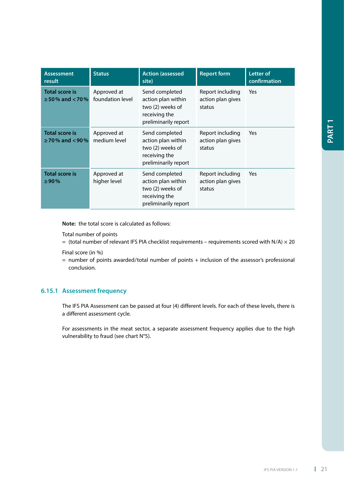<span id="page-22-0"></span>

| <b>Assessment</b><br>result                   | <b>Status</b>                   | <b>Action (assessed)</b><br>site)                                                                 | <b>Report form</b>                              | Letter of<br>confirmation |
|-----------------------------------------------|---------------------------------|---------------------------------------------------------------------------------------------------|-------------------------------------------------|---------------------------|
| <b>Total score is</b><br>$\geq$ 50% and < 70% | Approved at<br>foundation level | Send completed<br>action plan within<br>two (2) weeks of<br>receiving the<br>preliminarily report | Report including<br>action plan gives<br>status | Yes                       |
| <b>Total score is</b><br>$\geq$ 70% and <90%  | Approved at<br>medium level     | Send completed<br>action plan within<br>two (2) weeks of<br>receiving the<br>preliminarily report | Report including<br>action plan gives<br>status | Yes                       |
| <b>Total score is</b><br>$\geq 90\%$          | Approved at<br>higher level     | Send completed<br>action plan within<br>two (2) weeks of<br>receiving the<br>preliminarily report | Report including<br>action plan gives<br>status | Yes                       |

**Note:** the total score is calculated as follows:

Total number of points

 $=$  (total number of relevant IFS PIA checklist requirements – requirements scored with N/A)  $\times$  20

Final score (in %)

= number of points awarded/total number of points + inclusion of the assessor's professional conclusion.

#### **6.15.1 Assessment frequency**

The IFS PIA Assessment can be passed at four (4) different levels. For each of these levels, there is a different assessment cycle.

For assessments in the meat sector, a separate assessment frequency applies due to the high vulnerability to fraud (see chart N°5).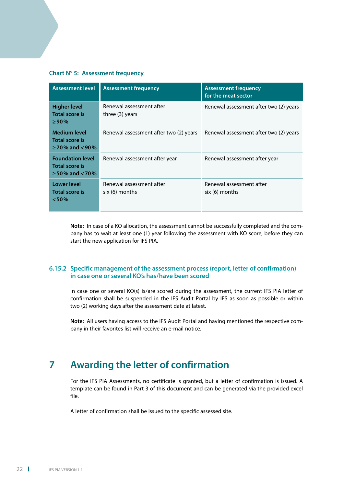<span id="page-23-0"></span>

|  | Chart N° 5: Assessment frequency |  |
|--|----------------------------------|--|
|--|----------------------------------|--|

| <b>Assessment level</b>                                                  | <b>Assessment frequency</b>                 | <b>Assessment frequency</b><br>for the meat sector |
|--------------------------------------------------------------------------|---------------------------------------------|----------------------------------------------------|
| <b>Higher level</b><br><b>Total score is</b><br>$\geq 90\%$              | Renewal assessment after<br>three (3) years | Renewal assessment after two (2) years             |
| <b>Medium level</b><br><b>Total score is</b><br>$\geq$ 70% and <90%      | Renewal assessment after two (2) years      | Renewal assessment after two (2) years             |
| <b>Foundation level</b><br><b>Total score is</b><br>$\geq$ 50% and < 70% | Renewal assessment after year               | Renewal assessment after year                      |
| Lower level<br><b>Total score is</b><br>$<$ 50%                          | Renewal assessment after<br>six (6) months  | Renewal assessment after<br>six (6) months         |

**Note:** In case of a KO allocation, the assessment cannot be successfully completed and the company has to wait at least one (1) year following the assessment with KO score, before they can start the new application for IFS PIA.

#### **6.15.2 Specific management of the assessment process (report, letter of confirmation) in case one or several KO's has/have been scored**

In case one or several KO(s) is/are scored during the assessment, the current IFS PIA letter of confirmation shall be suspended in the IFS Audit Portal by IFS as soon as possible or within two (2) working days after the assessment date at latest.

**Note:** All users having access to the IFS Audit Portal and having mentioned the respective company in their favorites list will receive an e-mail notice.

# **7 Awarding the letter of confirmation**

For the IFS PIA Assessments, no certificate is granted, but a letter of confirmation is issued. A template can be found in Part 3 of this document and can be generated via the provided excel file.

A letter of confirmation shall be issued to the specific assessed site.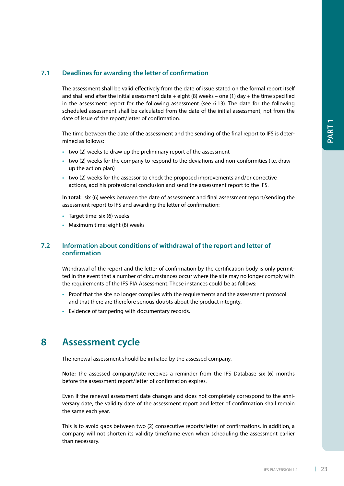#### <span id="page-24-0"></span>**7.1 Deadlines for awarding the letter of confirmation**

The assessment shall be valid effectively from the date of issue stated on the formal report itself and shall end after the initial assessment date  $+$  eight (8) weeks – one (1) day  $+$  the time specified in the assessment report for the following assessment (see 6.13). The date for the following scheduled assessment shall be calculated from the date of the initial assessment, not from the date of issue of the report/letter of confirmation.

The time between the date of the assessment and the sending of the final report to IFS is determined as follows:

- **•** two (2) weeks to draw up the preliminary report of the assessment
- **•** two (2) weeks for the company to respond to the deviations and non-conformities (i.e. draw up the action plan)
- **•** two (2) weeks for the assessor to check the proposed improvements and/or corrective actions, add his professional conclusion and send the assessment report to the IFS.

**In total:** six (6) weeks between the date of assessment and final assessment report/sending the assessment report to IFS and awarding the letter of confirmation:

- **•** Target time: six (6) weeks
- **•** Maximum time: eight (8) weeks

#### **7.2 Information about conditions of withdrawal of the report and letter of confirmation**

Withdrawal of the report and the letter of confirmation by the certification body is only permitted in the event that a number of circumstances occur where the site may no longer comply with the requirements of the IFS PIA Assessment. These instances could be as follows:

- **•** Proof that the site no longer complies with the requirements and the assessment protocol and that there are therefore serious doubts about the product integrity.
- **•** Evidence of tampering with documentary records.

# **8 Assessment cycle**

The renewal assessment should be initiated by the assessed company.

**Note:** the assessed company/site receives a reminder from the IFS Database six (6) months before the assessment report/letter of confirmation expires.

Even if the renewal assessment date changes and does not completely correspond to the anniversary date, the validity date of the assessment report and letter of confirmation shall remain the same each year.

This is to avoid gaps between two (2) consecutive reports/letter of confirmations. In addition, a company will not shorten its validity timeframe even when scheduling the assessment earlier than necessary.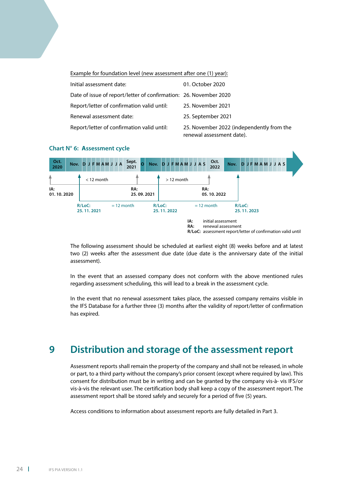<span id="page-25-0"></span>

| Example for foundation level (new assessment after one (1) year): |                      |
|-------------------------------------------------------------------|----------------------|
| Initial assessment date:                                          | 01. October 2020     |
| Date of issue of report/letter of confirmation: 26. November 2020 |                      |
| Report/letter of confirmation valid until:                        | 25. November 2021    |
| Renewal assessment date:                                          | 25. September 2021   |
| Report/letter of confirmation valid until:                        | 25. November 2022 (i |

independently from the renewal assessment date).



The following assessment should be scheduled at earliest eight (8) weeks before and at latest two (2) weeks after the assessment due date (due date is the anniversary date of the initial assessment).

In the event that an assessed company does not conform with the above mentioned rules regarding assessment scheduling, this will lead to a break in the assessment cycle.

In the event that no renewal assessment takes place, the assessed company remains visible in the IFS Database for a further three (3) months after the validity of report/letter of confirmation has expired.

# **9 Distribution and storage of the assessment report**

Assessment reports shall remain the property of the company and shall not be released, in whole or part, to a third party without the company's prior consent (except where required by law). This consent for distribution must be in writing and can be granted by the company vis-à- vis IFS/or vis-à-vis the relevant user. The certification body shall keep a copy of the assessment report. The assessment report shall be stored safely and securely for a period of five (5) years.

Access conditions to information about assessment reports are fully detailed in Part 3.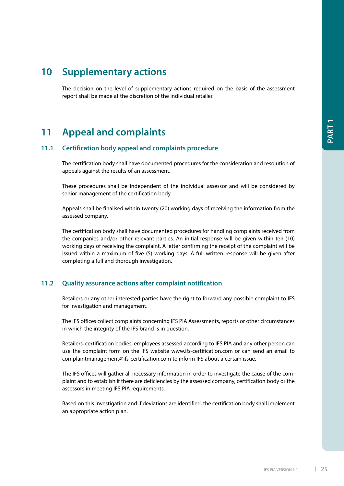# <span id="page-26-0"></span>**10 Supplementary actions**

The decision on the level of supplementary actions required on the basis of the assessment report shall be made at the discretion of the individual retailer.

# **11 Appeal and complaints**

#### **11.1 Certification body appeal and complaints procedure**

The certification body shall have documented procedures for the consideration and resolution of appeals against the results of an assessment.

These procedures shall be independent of the individual assessor and will be considered by senior management of the certification body.

Appeals shall be finalised within twenty (20) working days of receiving the information from the assessed company.

The certification body shall have documented procedures for handling complaints received from the companies and/or other relevant parties. An initial response will be given within ten (10) working days of receiving the complaint. A letter confirming the receipt of the complaint will be issued within a maximum of five (5) working days. A full written response will be given after completing a full and thorough investigation.

#### **11.2 Quality assurance actions after complaint notification**

Retailers or any other interested parties have the right to forward any possible complaint to IFS for investigation and management.

The IFS offices collect complaints concerning IFS PIA Assessments, reports or other circumstances in which the integrity of the IFS brand is in question.

Retailers, certification bodies, employees assessed according to IFS PIA and any other person can use the complaint form on the IFS website www.ifs-certification.com or can send an email to complaintmanagement@ifs-certification.com to inform IFS about a certain issue.

The IFS offices will gather all necessary information in order to investigate the cause of the complaint and to establish if there are deficiencies by the assessed company, certification body or the assessors in meeting IFS PIA requirements.

Based on this investigation and if deviations are identified, the certification body shall implement an appropriate action plan.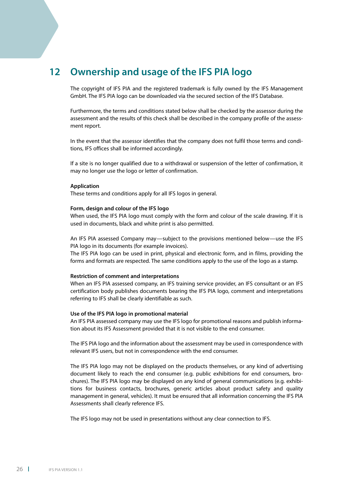# <span id="page-27-0"></span>**12 Ownership and usage of the IFS PIA logo**

The copyright of IFS PIA and the registered trademark is fully owned by the IFS Management GmbH. The IFS PIA logo can be downloaded via the secured section of the IFS Database.

Furthermore, the terms and conditions stated below shall be checked by the assessor during the assessment and the results of this check shall be described in the company profile of the assessment report.

In the event that the assessor identifies that the company does not fulfil those terms and conditions, IFS offices shall be informed accordingly.

If a site is no longer qualified due to a withdrawal or suspension of the letter of confirmation, it may no longer use the logo or letter of confirmation.

#### **Application**

These terms and conditions apply for all IFS logos in general.

#### **Form, design and colour of the IFS logo**

When used, the IFS PIA logo must comply with the form and colour of the scale drawing. If it is used in documents, black and white print is also permitted.

An IFS PIA assessed Company may—subject to the provisions mentioned below—use the IFS PIA logo in its documents (for example invoices).

The IFS PIA logo can be used in print, physical and electronic form, and in films, providing the forms and formats are respected. The same conditions apply to the use of the logo as a stamp.

#### **Restriction of comment and interpretations**

When an IFS PIA assessed company, an IFS training service provider, an IFS consultant or an IFS certification body publishes documents bearing the IFS PIA logo, comment and interpretations referring to IFS shall be clearly identifiable as such.

#### **Use of the IFS PIA logo in promotional material**

An IFS PIA assessed company may use the IFS logo for promotional reasons and publish information about its IFS Assessment provided that it is not visible to the end consumer.

The IFS PIA logo and the information about the assessment may be used in correspondence with relevant IFS users, but not in correspondence with the end consumer.

The IFS PIA logo may not be displayed on the products themselves, or any kind of advertising document likely to reach the end consumer (e.g. public exhibitions for end consumers, brochures). The IFS PIA logo may be displayed on any kind of general communications (e.g. exhibitions for business contacts, brochures, generic articles about product safety and quality management in general, vehicles). It must be ensured that all information concerning the IFS PIA Assessments shall clearly reference IFS.

The IFS logo may not be used in presentations without any clear connection to IFS.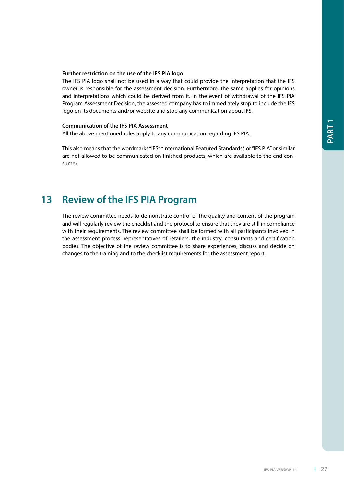#### <span id="page-28-0"></span>**Further restriction on the use of the IFS PIA logo**

The IFS PIA logo shall not be used in a way that could provide the interpretation that the IFS owner is responsible for the assessment decision. Furthermore, the same applies for opinions and interpretations which could be derived from it. In the event of withdrawal of the IFS PIA Program Assessment Decision, the assessed company has to immediately stop to include the IFS logo on its documents and/or website and stop any communication about IFS.

#### **Communication of the IFS PIA Assessment**

All the above mentioned rules apply to any communication regarding IFS PIA.

This also means that the wordmarks "IFS", "International Featured Standards", or "IFS PIA" or similar are not allowed to be communicated on finished products, which are available to the end consumer.

# **13 Review of the IFS PIA Program**

The review committee needs to demonstrate control of the quality and content of the program and will regularly review the checklist and the protocol to ensure that they are still in compliance with their requirements. The review committee shall be formed with all participants involved in the assessment process: representatives of retailers, the industry, consultants and certification bodies. The objective of the review committee is to share experiences, discuss and decide on changes to the training and to the checklist requirements for the assessment report.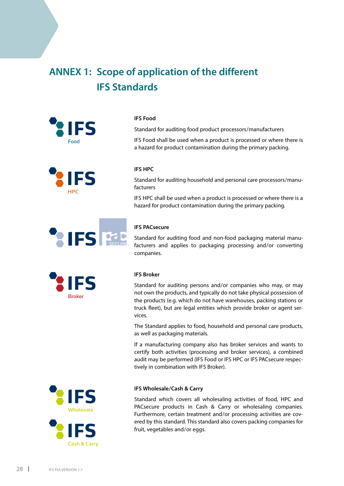# <span id="page-29-0"></span>**ANNEX 1: Scope of application of the different IFS Standards**





#### **IFS Food**

Standard for auditing food product processors/manufacturers

IFS Food shall be used when a product is processed or where there is a hazard for product contamination during the primary packing.

#### **IFS HPC**

Standard for auditing household and personal care processors/manufacturers

IFS HPC shall be used when a product is processed or where there is a hazard for product contamination during the primary packing.



Broker

#### **IFS PACsecure**

Standard for auditing food and non-food packaging material manufacturers and applies to packaging processing and/or converting companies.

#### **IFS Broker**

Standard for auditing persons and/or companies who may, or may not own the products, and typically do not take physical possession of the products (e.g. which do not have warehouses, packing stations or truck fleet), but are legal entities which provide broker or agent services.

The Standard applies to food, household and personal care products, as well as packaging materials.

If a manufacturing company also has broker services and wants to certify both activities (processing and broker services), a combined audit may be performed (IFS Food or IFS HPC or IFS PACsecure respectively in combination with IFS Broker).





#### **IFS Wholesale/Cash & Carry**

Standard which covers all wholesaling activities of food, HPC and PACsecure products in Cash & Carry or wholesaling companies. Furthermore, certain treatment and/or processing activities are covered by this standard. This standard also covers packing companies for fruit, vegetables and/or eggs.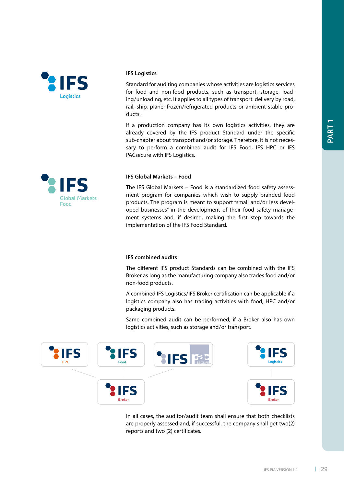

#### **IFS Logistics**

Standard for auditing companies whose activities are logistics services for food and non-food products, such as transport, storage, loading/unloading, etc. It applies to all types of transport: delivery by road, rail, ship, plane; frozen/refrigerated products or ambient stable products.

If a production company has its own logistics activities, they are already covered by the IFS product Standard under the specific sub-chapter about transport and/or storage. Therefore, it is not necessary to perform a combined audit for IFS Food, IFS HPC or IFS PACsecure with IFS Logistics.

# Global Markets Food

#### **IFS Global Markets – Food**

The IFS Global Markets – Food is a standardized food safety assessment program for companies which wish to supply branded food products. The program is meant to support "small and/or less developed businesses" in the development of their food safety management systems and, if desired, making the first step towards the implementation of the IFS Food Standard.

#### **IFS combined audits**

The different IFS product Standards can be combined with the IFS Broker as long as the manufacturing company also trades food and/or non-food products.

A combined IFS Logistics/IFS Broker certification can be applicable if a logistics company also has trading activities with food, HPC and/or packaging products.

Same combined audit can be performed, if a Broker also has own logistics activities, such as storage and/or transport.



In all cases, the auditor/audit team shall ensure that both checklists are properly assessed and, if successful, the company shall get two(2) reports and two (2) certificates.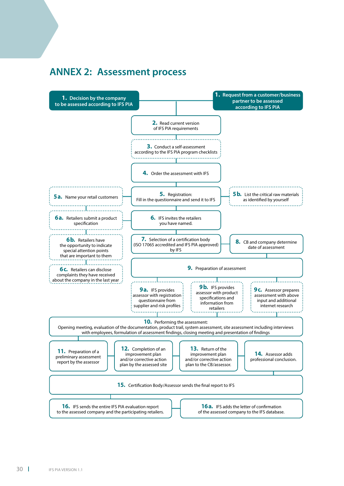## <span id="page-31-0"></span>**ANNEX 2: Assessment process**

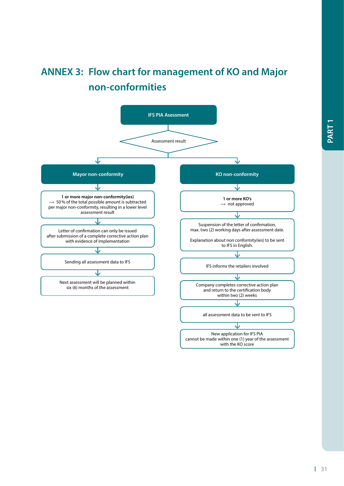# <span id="page-32-0"></span>**ANNEX 3: Flow chart for management of KO and Major non-conformities**

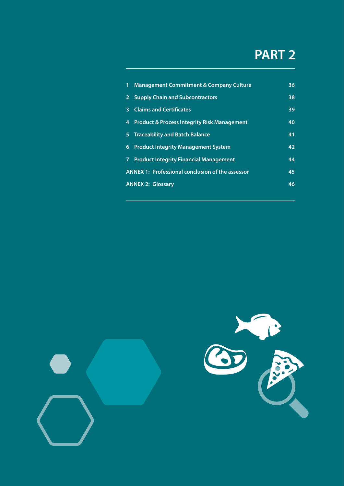# **PART 2**

| 1.             | <b>Management Commitment &amp; Company Culture</b>      | 36 |
|----------------|---------------------------------------------------------|----|
| $\overline{2}$ | <b>Supply Chain and Subcontractors</b>                  | 38 |
| 3              | <b>Claims and Certificates</b>                          | 39 |
| 4              | <b>Product &amp; Process Integrity Risk Management</b>  | 40 |
|                | 5 Traceability and Batch Balance                        | 41 |
| 6              | <b>Product Integrity Management System</b>              | 42 |
|                | 7 Product Integrity Financial Management                | 44 |
|                | <b>ANNEX 1: Professional conclusion of the assessor</b> | 45 |
|                | <b>ANNEX 2: Glossary</b>                                | 46 |

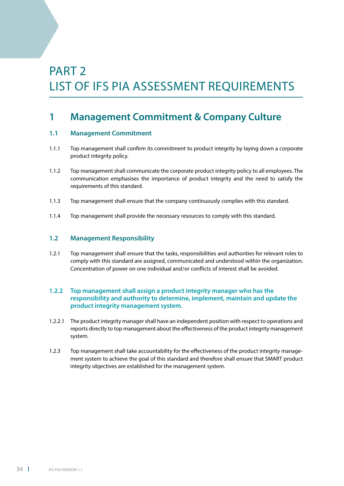# <span id="page-35-0"></span>PART<sub>2</sub> LIST OF IFS PIA ASSESSMENT REQUIREMENTS

# **1 Management Commitment & Company Culture**

#### **1.1 Management Commitment**

- 1.1.1 Top management shall confirm its commitment to product integrity by laying down a corporate product integrity policy.
- 1.1.2 Top management shall communicate the corporate product integrity policy to all employees. The communication emphasises the importance of product integrity and the need to satisfy the requirements of this standard.
- 1.1.3 Top management shall ensure that the company continuously complies with this standard.
- 1.1.4 Top management shall provide the necessary resources to comply with this standard.

#### **1.2 Management Responsibility**

1.2.1 Top management shall ensure that the tasks, responsibilities and authorities for relevant roles to comply with this standard are assigned, communicated and understood within the organization. Concentration of power on one individual and/or conflicts of interest shall be avoided.

#### **1.2.2 Top management shall assign a product integrity manager who has the responsibility and authority to determine, implement, maintain and update the product integrity management system.**

- 1.2.2.1 The product integrity manager shall have an independent position with respect to operations and reports directly to top management about the effectiveness of the product integrity management system.
- 1.2.3 Top management shall take accountability for the effectiveness of the product integrity management system to achieve the goal of this standard and therefore shall ensure that SMART product integrity objectives are established for the management system.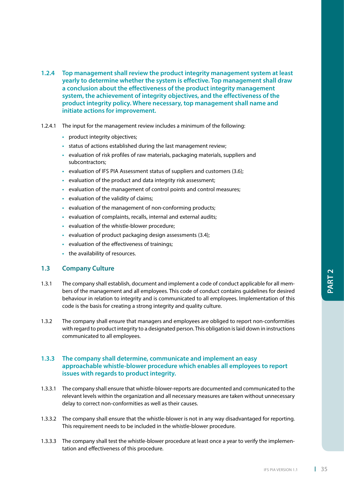- <span id="page-36-0"></span>**1.2.4 Top management shall review the product integrity management system at least yearly to determine whether the system is effective. Top management shall draw a conclusion about the effectiveness of the product integrity management system, the achievement of integrity objectives, and the effectiveness of the product integrity policy. Where necessary, top management shall name and initiate actions for improvement.**
- 1.2.4.1 The input for the management review includes a minimum of the following:
	- **•** product integrity objectives;
	- **•** status of actions established during the last management review;
	- **•** evaluation of risk profiles of raw materials, packaging materials, suppliers and subcontractors;
	- **•** evaluation of IFS PIA Assessment status of suppliers and customers (3.6);
	- **•** evaluation of the product and data integrity risk assessment;
	- **•** evaluation of the management of control points and control measures;
	- **•** evaluation of the validity of claims;
	- **•** evaluation of the management of non-conforming products;
	- **•** evaluation of complaints, recalls, internal and external audits;
	- **•** evaluation of the whistle-blower procedure;
	- **•** evaluation of product packaging design assessments (3.4);
	- **•** evaluation of the effectiveness of trainings;
	- **•** the availability of resources.

#### **1.3 Company Culture**

- 1.3.1 The company shall establish, document and implement a code of conduct applicable for all members of the management and all employees. This code of conduct contains guidelines for desired behaviour in relation to integrity and is communicated to all employees. Implementation of this code is the basis for creating a strong integrity and quality culture.
- 1.3.2 The company shall ensure that managers and employees are obliged to report non-conformities with regard to product integrity to a designated person. This obligation is laid down in instructions communicated to all employees.

#### **1.3.3 The company shall determine, communicate and implement an easy approachable whistle-blower procedure which enables all employees to report issues with regards to product integrity.**

- 1.3.3.1 The company shall ensure that whistle-blower-reports are documented and communicated to the relevant levels within the organization and all necessary measures are taken without unnecessary delay to correct non-conformities as well as their causes.
- 1.3.3.2 The company shall ensure that the whistle-blower is not in any way disadvantaged for reporting. This requirement needs to be included in the whistle-blower procedure.
- 1.3.3.3 The company shall test the whistle-blower procedure at least once a year to verify the implementation and effectiveness of this procedure.

**PART 2**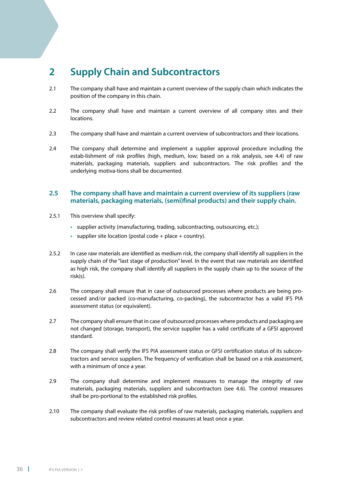# <span id="page-37-0"></span>**2 Supply Chain and Subcontractors**

- 2.1 The company shall have and maintain a current overview of the supply chain which indicates the position of the company in this chain.
- 2.2 The company shall have and maintain a current overview of all company sites and their locations.
- 2.3 The company shall have and maintain a current overview of subcontractors and their locations.
- 2.4 The company shall determine and implement a supplier approval procedure including the estab-lishment of risk profiles (high, medium, low; based on a risk analysis, see 4.4) of raw materials, packaging materials, suppliers and subcontractors. The risk profiles and the underlying motiva-tions shall be documented.

#### **2.5 The company shall have and maintain a current overview of its suppliers (raw materials, packaging materials, (semi)final products) and their supply chain.**

- 2.5.1 This overview shall specify:
	- **•** supplier activity (manufacturing, trading, subcontracting, outsourcing, etc.);
	- **•** supplier site location (postal code + place + country).
- 2.5.2 In case raw materials are identified as medium risk, the company shall identify all suppliers in the supply chain of the "last stage of production" level. In the event that raw materials are identified as high risk, the company shall identify all suppliers in the supply chain up to the source of the risk(s).
- 2.6 The company shall ensure that in case of outsourced processes where products are being processed and/or packed (co-manufacturing, co-packing), the subcontractor has a valid IFS PIA assessment status (or equivalent).
- 2.7 The company shall ensure that in case of outsourced processes where products and packaging are not changed (storage, transport), the service supplier has a valid certificate of a GFSI approved standard.
- 2.8 The company shall verify the IFS PIA assessment status or GFSI certification status of its subcontractors and service suppliers. The frequency of verification shall be based on a risk assessment, with a minimum of once a year.
- 2.9 The company shall determine and implement measures to manage the integrity of raw materials, packaging materials, suppliers and subcontractors (see 4.6). The control measures shall be pro-portional to the established risk profiles.
- 2.10 The company shall evaluate the risk profiles of raw materials, packaging materials, suppliers and subcontractors and review related control measures at least once a year.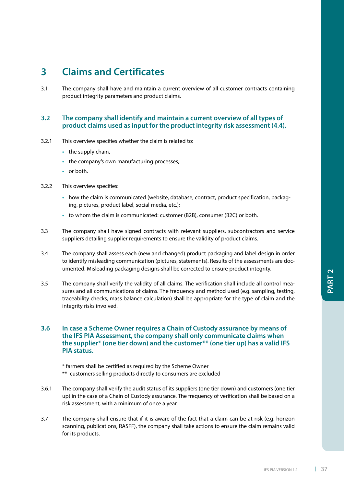# <span id="page-38-0"></span>**3 Claims and Certificates**

3.1 The company shall have and maintain a current overview of all customer contracts containing product integrity parameters and product claims.

#### **3.2 The company shall identify and maintain a current overview of all types of product claims used as input for the product integrity risk assessment (4.4).**

- 3.2.1 This overview specifies whether the claim is related to:
	- **•** the supply chain,
	- **•** the company's own manufacturing processes,
	- **•** or both.
- 3.2.2 This overview specifies:
	- **•** how the claim is communicated (website, database, contract, product specification, packaging, pictures, product label, social media, etc.);
	- **•** to whom the claim is communicated: customer (B2B), consumer (B2C) or both.
- 3.3 The company shall have signed contracts with relevant suppliers, subcontractors and service suppliers detailing supplier requirements to ensure the validity of product claims.
- 3.4 The company shall assess each (new and changed) product packaging and label design in order to identify misleading communication (pictures, statements). Results of the assessments are documented. Misleading packaging designs shall be corrected to ensure product integrity.
- 3.5 The company shall verify the validity of all claims. The verification shall include all control measures and all communications of claims. The frequency and method used (e.g. sampling, testing, traceability checks, mass balance calculation) shall be appropriate for the type of claim and the integrity risks involved.

#### **3.6 In case a Scheme Owner requires a Chain of Custody assurance by means of the IFS PIA Assessment, the company shall only communicate claims when the supplier\* (one tier down) and the customer\*\* (one tier up) has a valid IFS PIA status.**

- \* farmers shall be certified as required by the Scheme Owner
- \*\* customers selling products directly to consumers are excluded
- 3.6.1 The company shall verify the audit status of its suppliers (one tier down) and customers (one tier up) in the case of a Chain of Custody assurance. The frequency of verification shall be based on a risk assessment, with a minimum of once a year.
- 3.7 The company shall ensure that if it is aware of the fact that a claim can be at risk (e.g. horizon scanning, publications, RASFF), the company shall take actions to ensure the claim remains valid for its products.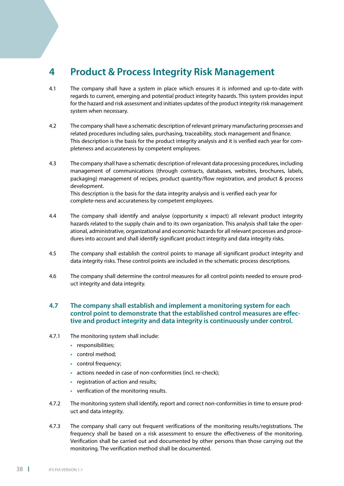# <span id="page-39-0"></span>**4 Product & Process Integrity Risk Management**

- 4.1 The company shall have a system in place which ensures it is informed and up-to-date with regards to current, emerging and potential product integrity hazards. This system provides input for the hazard and risk assessment and initiates updates of the product integrity risk management system when necessary.
- 4.2 The company shall have a schematic description of relevant primary manufacturing processes and related procedures including sales, purchasing, traceability, stock management and finance. This description is the basis for the product integrity analysis and it is verified each year for completeness and accurateness by competent employees.
- 4.3 The company shall have a schematic description of relevant data processing procedures, including management of communications (through contracts, databases, websites, brochures, labels, packaging) management of recipes, product quantity/flow registration, and product & process development. This description is the basis for the data integrity analysis and is verified each year for complete-ness and accurateness by competent employees.
- 4.4 The company shall identify and analyse (opportunity x impact) all relevant product integrity hazards related to the supply chain and to its own organization. This analysis shall take the operational, administrative, organizational and economic hazards for all relevant processes and procedures into account and shall identify significant product integrity and data integrity risks.
- 4.5 The company shall establish the control points to manage all significant product integrity and data integrity risks. These control points are included in the schematic process descriptions.
- 4.6 The company shall determine the control measures for all control points needed to ensure product integrity and data integrity.

#### **4.7 The company shall establish and implement a monitoring system for each control point to demonstrate that the established control measures are effective and product integrity and data integrity is continuously under control.**

- 4.7.1 The monitoring system shall include:
	- **•** responsibilities;
	- **•** control method;
	- **•** control frequency;
	- **•** actions needed in case of non-conformities (incl. re-check);
	- **•** registration of action and results;
	- **•** verification of the monitoring results.
- 4.7.2 The monitoring system shall identify, report and correct non-conformities in time to ensure product and data integrity.
- 4.7.3 The company shall carry out frequent verifications of the monitoring results/registrations. The frequency shall be based on a risk assessment to ensure the effectiveness of the monitoring. Verification shall be carried out and documented by other persons than those carrying out the monitoring. The verification method shall be documented.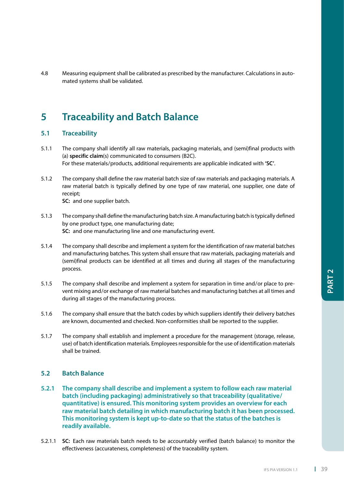<span id="page-40-0"></span>4.8 Measuring equipment shall be calibrated as prescribed by the manufacturer. Calculations in automated systems shall be validated.

# **5 Traceability and Batch Balance**

#### **5.1 Traceability**

- 5.1.1 The company shall identify all raw materials, packaging materials, and (semi)final products with (a) **specific claim**(s) communicated to consumers (B2C). For these materials/products, additional requirements are applicable indicated with **'SC'**.
- 5.1.2 The company shall define the raw material batch size of raw materials and packaging materials. A raw material batch is typically defined by one type of raw material, one supplier, one date of receipt; **SC:** and one supplier batch.
- 5.1.3 The company shall define the manufacturing batch size. A manufacturing batch is typically defined by one product type, one manufacturing date; **SC:** and one manufacturing line and one manufacturing event.
- 5.1.4 The company shall describe and implement a system for the identification of raw material batches and manufacturing batches. This system shall ensure that raw materials, packaging materials and (semi)final products can be identified at all times and during all stages of the manufacturing process.
- 5.1.5 The company shall describe and implement a system for separation in time and/or place to prevent mixing and/or exchange of raw material batches and manufacturing batches at all times and during all stages of the manufacturing process.
- 5.1.6 The company shall ensure that the batch codes by which suppliers identify their delivery batches are known, documented and checked. Non-conformities shall be reported to the supplier.
- 5.1.7 The company shall establish and implement a procedure for the management (storage, release, use) of batch identification materials. Employees responsible for the use of identification materials shall be trained.

#### **5.2 Batch Balance**

- **5.2.1 The company shall describe and implement a system to follow each raw material batch (including packaging) administratively so that traceability (qualitative/ quantitative) is ensured. This monitoring system provides an overview for each raw material batch detailing in which manufacturing batch it has been processed. This monitoring system is kept up-to-date so that the status of the batches is readily available.**
- 5.2.1.1 **SC:** Each raw materials batch needs to be accountably verified (batch balance) to monitor the effectiveness (accurateness, completeness) of the traceability system.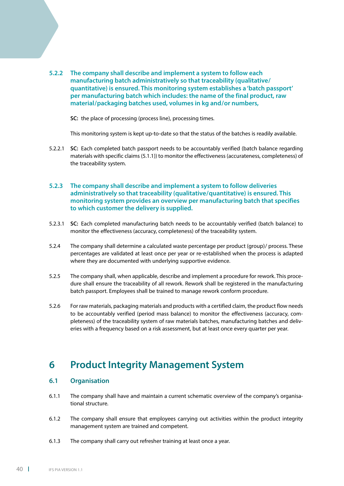<span id="page-41-0"></span>**5.2.2 The company shall describe and implement a system to follow each manufacturing batch administratively so that traceability (qualitative/ quantitative) is ensured. This monitoring system establishes a 'batch passport' per manufacturing batch which includes: the name of the final product, raw material/packaging batches used, volumes in kg and/or numbers,** 

**SC:** the place of processing (process line), processing times.

This monitoring system is kept up-to-date so that the status of the batches is readily available.

5.2.2.1 **SC:** Each completed batch passport needs to be accountably verified (batch balance regarding materials with specific claims (5.1.1)) to monitor the effectiveness (accurateness, completeness) of the traceability system.

#### **5.2.3 The company shall describe and implement a system to follow deliveries administratively so that traceability (qualitative/quantitative) is ensured. This monitoring system provides an overview per manufacturing batch that specifies to which customer the delivery is supplied.**

- 5.2.3.1 **SC:** Each completed manufacturing batch needs to be accountably verified (batch balance) to monitor the effectiveness (accuracy, completeness) of the traceability system.
- 5.2.4 The company shall determine a calculated waste percentage per product (group)/ process. These percentages are validated at least once per year or re-established when the process is adapted where they are documented with underlying supportive evidence.
- 5.2.5 The company shall, when applicable, describe and implement a procedure for rework. This procedure shall ensure the traceability of all rework. Rework shall be registered in the manufacturing batch passport. Employees shall be trained to manage rework conform procedure.
- 5.2.6 For raw materials, packaging materials and products with a certified claim, the product flow needs to be accountably verified (period mass balance) to monitor the effectiveness (accuracy, completeness) of the traceability system of raw materials batches, manufacturing batches and deliveries with a frequency based on a risk assessment, but at least once every quarter per year.

### **6 Product Integrity Management System**

#### **6.1 Organisation**

- 6.1.1 The company shall have and maintain a current schematic overview of the company's organisational structure.
- 6.1.2 The company shall ensure that employees carrying out activities within the product integrity management system are trained and competent.
- 6.1.3 The company shall carry out refresher training at least once a year.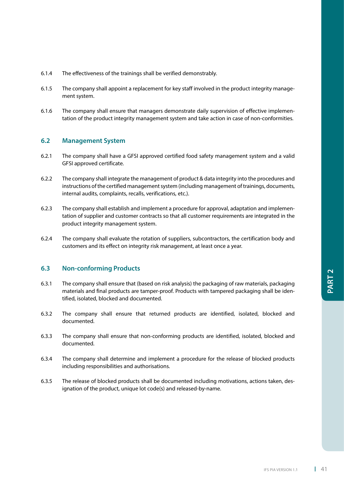- <span id="page-42-0"></span>6.1.4 The effectiveness of the trainings shall be verified demonstrably.
- 6.1.5 The company shall appoint a replacement for key staff involved in the product integrity management system.
- 6.1.6 The company shall ensure that managers demonstrate daily supervision of effective implementation of the product integrity management system and take action in case of non-conformities.

#### **6.2 Management System**

- 6.2.1 The company shall have a GFSI approved certified food safety management system and a valid GFSI approved certificate.
- 6.2.2 The company shall integrate the management of product & data integrity into the procedures and instructions of the certified management system (including management of trainings, documents, internal audits, complaints, recalls, verifications, etc.).
- 6.2.3 The company shall establish and implement a procedure for approval, adaptation and implementation of supplier and customer contracts so that all customer requirements are integrated in the product integrity management system.
- 6.2.4 The company shall evaluate the rotation of suppliers, subcontractors, the certification body and customers and its effect on integrity risk management, at least once a year.

#### **6.3 Non-conforming Products**

- 6.3.1 The company shall ensure that (based on risk analysis) the packaging of raw materials, packaging materials and final products are tamper-proof. Products with tampered packaging shall be identified, isolated, blocked and documented.
- 6.3.2 The company shall ensure that returned products are identified, isolated, blocked and documented.
- 6.3.3 The company shall ensure that non-conforming products are identified, isolated, blocked and documented.
- 6.3.4 The company shall determine and implement a procedure for the release of blocked products including responsibilities and authorisations.
- 6.3.5 The release of blocked products shall be documented including motivations, actions taken, designation of the product, unique lot code(s) and released-by-name.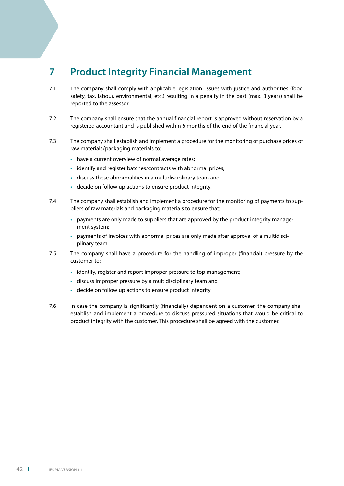# <span id="page-43-0"></span>**7 Product Integrity Financial Management**

- 7.1 The company shall comply with applicable legislation. Issues with justice and authorities (food safety, tax, labour, environmental, etc.) resulting in a penalty in the past (max. 3 years) shall be reported to the assessor.
- 7.2 The company shall ensure that the annual financial report is approved without reservation by a registered accountant and is published within 6 months of the end of the financial year.
- 7.3 The company shall establish and implement a procedure for the monitoring of purchase prices of raw materials/packaging materials to:
	- **•** have a current overview of normal average rates;
	- **•** identify and register batches/contracts with abnormal prices;
	- **•** discuss these abnormalities in a multidisciplinary team and
	- **•** decide on follow up actions to ensure product integrity.
- 7.4 The company shall establish and implement a procedure for the monitoring of payments to suppliers of raw materials and packaging materials to ensure that:
	- **•** payments are only made to suppliers that are approved by the product integrity management system;
	- **•** payments of invoices with abnormal prices are only made after approval of a multidisciplinary team.
- 7.5 The company shall have a procedure for the handling of improper (financial) pressure by the customer to:
	- **•** identify, register and report improper pressure to top management;
	- **•** discuss improper pressure by a multidisciplinary team and
	- **•** decide on follow up actions to ensure product integrity.
- 7.6 In case the company is significantly (financially) dependent on a customer, the company shall establish and implement a procedure to discuss pressured situations that would be critical to product integrity with the customer. This procedure shall be agreed with the customer.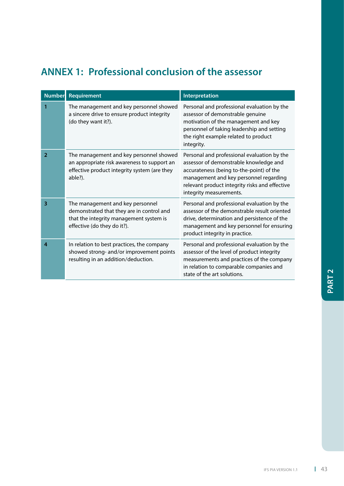# <span id="page-44-0"></span>**ANNEX 1: Professional conclusion of the assessor**

| <b>Number</b>  | Requirement                                                                                                                                             | Interpretation                                                                                                                                                                                                                                           |
|----------------|---------------------------------------------------------------------------------------------------------------------------------------------------------|----------------------------------------------------------------------------------------------------------------------------------------------------------------------------------------------------------------------------------------------------------|
|                | The management and key personnel showed<br>a sincere drive to ensure product integrity<br>(do they want it?).                                           | Personal and professional evaluation by the<br>assessor of demonstrable genuine<br>motivation of the management and key<br>personnel of taking leadership and setting<br>the right example related to product<br>integrity.                              |
| $\overline{2}$ | The management and key personnel showed<br>an appropriate risk awareness to support an<br>effective product integrity system (are they<br>able?).       | Personal and professional evaluation by the<br>assessor of demonstrable knowledge and<br>accurateness (being to-the-point) of the<br>management and key personnel regarding<br>relevant product integrity risks and effective<br>integrity measurements. |
| 3              | The management and key personnel<br>demonstrated that they are in control and<br>that the integrity management system is<br>effective (do they do it?). | Personal and professional evaluation by the<br>assessor of the demonstrable result oriented<br>drive, determination and persistence of the<br>management and key personnel for ensuring<br>product integrity in practice.                                |
| 4              | In relation to best practices, the company<br>showed strong- and/or improvement points<br>resulting in an addition/deduction.                           | Personal and professional evaluation by the<br>assessor of the level of product integrity<br>measurements and practices of the company<br>in relation to comparable companies and<br>state of the art solutions.                                         |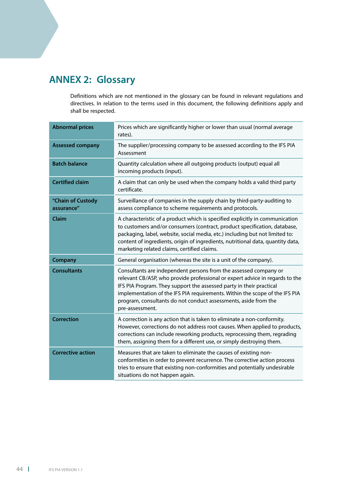# <span id="page-45-0"></span>**ANNEX 2: Glossary**

Definitions which are not mentioned in the glossary can be found in relevant regulations and directives. In relation to the terms used in this document, the following definitions apply and shall be respected.

| <b>Abnormal prices</b>          | Prices which are significantly higher or lower than usual (normal average<br>rates).                                                                                                                                                                                                                                                                                                         |
|---------------------------------|----------------------------------------------------------------------------------------------------------------------------------------------------------------------------------------------------------------------------------------------------------------------------------------------------------------------------------------------------------------------------------------------|
| <b>Assessed company</b>         | The supplier/processing company to be assessed according to the IFS PIA<br>Assessment                                                                                                                                                                                                                                                                                                        |
| <b>Batch balance</b>            | Quantity calculation where all outgoing products (output) equal all<br>incoming products (input).                                                                                                                                                                                                                                                                                            |
| <b>Certified claim</b>          | A claim that can only be used when the company holds a valid third party<br>certificate.                                                                                                                                                                                                                                                                                                     |
| "Chain of Custody<br>assurance" | Surveillance of companies in the supply chain by third-party-auditing to<br>assess compliance to scheme requirements and protocols.                                                                                                                                                                                                                                                          |
| <b>Claim</b>                    | A characteristic of a product which is specified explicitly in communication<br>to customers and/or consumers (contract, product specification, database,<br>packaging, label, website, social media, etc.) including but not limited to:<br>content of ingredients, origin of ingredients, nutritional data, quantity data,<br>marketing related claims, certified claims.                  |
| <b>Company</b>                  | General organisation (whereas the site is a unit of the company).                                                                                                                                                                                                                                                                                                                            |
| <b>Consultants</b>              | Consultants are independent persons from the assessed company or<br>relevant CB/ASP, who provide professional or expert advice in regards to the<br>IFS PIA Program. They support the assessed party in their practical<br>implementation of the IFS PIA requirements. Within the scope of the IFS PIA<br>program, consultants do not conduct assessments, aside from the<br>pre-assessment. |
| <b>Correction</b>               | A correction is any action that is taken to eliminate a non-conformity.<br>However, corrections do not address root causes. When applied to products,<br>corrections can include reworking products, reprocessing them, regrading<br>them, assigning them for a different use, or simply destroying them.                                                                                    |
| <b>Corrective action</b>        | Measures that are taken to eliminate the causes of existing non-<br>conformities in order to prevent recurrence. The corrective action process<br>tries to ensure that existing non-conformities and potentially undesirable<br>situations do not happen again.                                                                                                                              |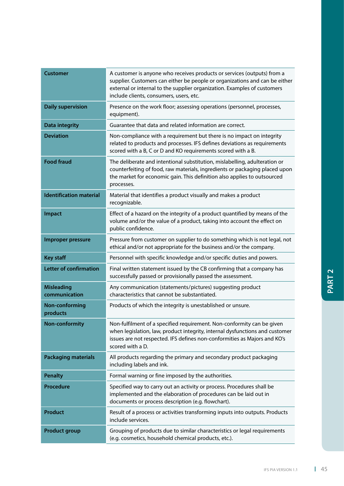| <b>Customer</b>                    | A customer is anyone who receives products or services (outputs) from a<br>supplier. Customers can either be people or organizations and can be either<br>external or internal to the supplier organization. Examples of customers<br>include clients, consumers, users, etc. |
|------------------------------------|-------------------------------------------------------------------------------------------------------------------------------------------------------------------------------------------------------------------------------------------------------------------------------|
| <b>Daily supervision</b>           | Presence on the work floor; assessing operations (personnel, processes,<br>equipment).                                                                                                                                                                                        |
| Data integrity                     | Guarantee that data and related information are correct.                                                                                                                                                                                                                      |
| <b>Deviation</b>                   | Non-compliance with a requirement but there is no impact on integrity<br>related to products and processes. IFS defines deviations as requirements<br>scored with a B, C or D and KO requirements scored with a B.                                                            |
| <b>Food fraud</b>                  | The deliberate and intentional substitution, mislabelling, adulteration or<br>counterfeiting of food, raw materials, ingredients or packaging placed upon<br>the market for economic gain. This definition also applies to outsourced<br>processes.                           |
| <b>Identification material</b>     | Material that identifies a product visually and makes a product<br>recognizable.                                                                                                                                                                                              |
| Impact                             | Effect of a hazard on the integrity of a product quantified by means of the<br>volume and/or the value of a product, taking into account the effect on<br>public confidence.                                                                                                  |
| Improper pressure                  | Pressure from customer on supplier to do something which is not legal, not<br>ethical and/or not appropriate for the business and/or the company.                                                                                                                             |
| <b>Key staff</b>                   | Personnel with specific knowledge and/or specific duties and powers.                                                                                                                                                                                                          |
| <b>Letter of confirmation</b>      | Final written statement issued by the CB confirming that a company has<br>successfully passed or provisionally passed the assessment.                                                                                                                                         |
| <b>Misleading</b><br>communication | Any communication (statements/pictures) suggesting product<br>characteristics that cannot be substantiated.                                                                                                                                                                   |
| <b>Non-conforming</b><br>products  | Products of which the integrity is unestablished or unsure.                                                                                                                                                                                                                   |
| <b>Non-conformity</b>              | Non-fulfilment of a specified requirement. Non-conformity can be given<br>when legislation, law, product integrity, internal dysfunctions and customer<br>issues are not respected. IFS defines non-conformities as Majors and KO's<br>scored with a D.                       |
| <b>Packaging materials</b>         | All products regarding the primary and secondary product packaging<br>including labels and ink.                                                                                                                                                                               |
| <b>Penalty</b>                     | Formal warning or fine imposed by the authorities.                                                                                                                                                                                                                            |
| Procedure                          | Specified way to carry out an activity or process. Procedures shall be<br>implemented and the elaboration of procedures can be laid out in<br>documents or process description (e.g. flowchart).                                                                              |
| <b>Product</b>                     | Result of a process or activities transforming inputs into outputs. Products<br>include services.                                                                                                                                                                             |
| <b>Product group</b>               | Grouping of products due to similar characteristics or legal requirements<br>(e.g. cosmetics, household chemical products, etc.).                                                                                                                                             |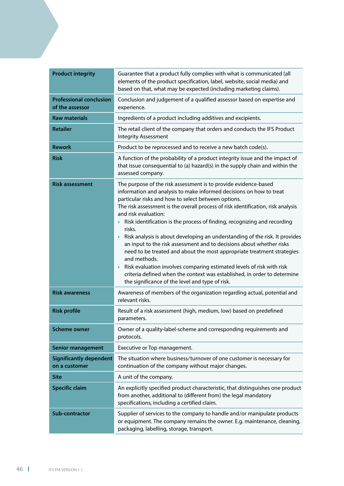| <b>Product integrity</b>                          | Guarantee that a product fully complies with what is communicated (all<br>elements of the product specification, label, website, social media) and<br>based on that, what may be expected (including marketing claims).                                                                                                                                                                                                                                                                                                                                                                                                                                                                                                                                                                                                                                                 |
|---------------------------------------------------|-------------------------------------------------------------------------------------------------------------------------------------------------------------------------------------------------------------------------------------------------------------------------------------------------------------------------------------------------------------------------------------------------------------------------------------------------------------------------------------------------------------------------------------------------------------------------------------------------------------------------------------------------------------------------------------------------------------------------------------------------------------------------------------------------------------------------------------------------------------------------|
| <b>Professional conclusion</b><br>of the assessor | Conclusion and judgement of a qualified assessor based on expertise and<br>experience.                                                                                                                                                                                                                                                                                                                                                                                                                                                                                                                                                                                                                                                                                                                                                                                  |
| <b>Raw materials</b>                              | Ingredients of a product including additives and excipients.                                                                                                                                                                                                                                                                                                                                                                                                                                                                                                                                                                                                                                                                                                                                                                                                            |
| <b>Retailer</b>                                   | The retail client of the company that orders and conducts the IFS Product<br><b>Integrity Assessment</b>                                                                                                                                                                                                                                                                                                                                                                                                                                                                                                                                                                                                                                                                                                                                                                |
| <b>Rework</b>                                     | Product to be reprocessed and to receive a new batch code(s).                                                                                                                                                                                                                                                                                                                                                                                                                                                                                                                                                                                                                                                                                                                                                                                                           |
| <b>Risk</b>                                       | A function of the probability of a product integrity issue and the impact of<br>that issue consequential to (a) hazard(s) in the supply chain and within the<br>assessed company.                                                                                                                                                                                                                                                                                                                                                                                                                                                                                                                                                                                                                                                                                       |
| <b>Risk assessment</b>                            | The purpose of the risk assessment is to provide evidence-based<br>information and analysis to make informed decisions on how to treat<br>particular risks and how to select between options.<br>The risk assessment is the overall process of risk identification, risk analysis<br>and risk evaluation:<br>• Risk identification is the process of finding, recognizing and recording<br>risks.<br>Risk analysis is about developing an understanding of the risk. It provides<br>$\bullet$<br>an input to the risk assessment and to decisions about whether risks<br>need to be treated and about the most appropriate treatment strategies<br>and methods.<br>Risk evaluation involves comparing estimated levels of risk with risk<br>criteria defined when the context was established, in order to determine<br>the significance of the level and type of risk. |
| <b>Risk awareness</b>                             | Awareness of members of the organization regarding actual, potential and<br>relevant risks.                                                                                                                                                                                                                                                                                                                                                                                                                                                                                                                                                                                                                                                                                                                                                                             |
| <b>Risk profile</b>                               | Result of a risk assessment (high, medium, low) based on predefined<br>parameters.                                                                                                                                                                                                                                                                                                                                                                                                                                                                                                                                                                                                                                                                                                                                                                                      |
| <b>Scheme owner</b>                               | Owner of a quality-label-scheme and corresponding requirements and<br>protocols.                                                                                                                                                                                                                                                                                                                                                                                                                                                                                                                                                                                                                                                                                                                                                                                        |
| <b>Senior management</b>                          | Executive or Top management.                                                                                                                                                                                                                                                                                                                                                                                                                                                                                                                                                                                                                                                                                                                                                                                                                                            |
| <b>Significantly dependent</b><br>on a customer   | The situation where business/turnover of one customer is necessary for<br>continuation of the company without major changes.                                                                                                                                                                                                                                                                                                                                                                                                                                                                                                                                                                                                                                                                                                                                            |
| <b>Site</b>                                       | A unit of the company.                                                                                                                                                                                                                                                                                                                                                                                                                                                                                                                                                                                                                                                                                                                                                                                                                                                  |
| <b>Specific claim</b>                             | An explicitly specified product characteristic, that distinguishes one product<br>from another, additional to (different from) the legal mandatory<br>specifications, including a certified claim.                                                                                                                                                                                                                                                                                                                                                                                                                                                                                                                                                                                                                                                                      |
| Sub-contractor                                    | Supplier of services to the company to handle and/or manipulate products<br>or equipment. The company remains the owner. E.g. maintenance, cleaning,<br>packaging, labelling, storage, transport.                                                                                                                                                                                                                                                                                                                                                                                                                                                                                                                                                                                                                                                                       |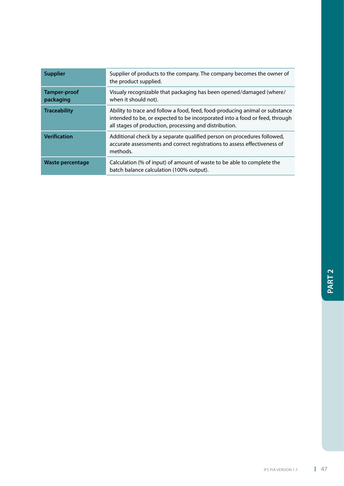| <b>Supplier</b>           | Supplier of products to the company. The company becomes the owner of<br>the product supplied.                                                                                                                        |
|---------------------------|-----------------------------------------------------------------------------------------------------------------------------------------------------------------------------------------------------------------------|
| Tamper-proof<br>packaging | Visualy recognizable that packaging has been opened/damaged (where/<br>when it should not).                                                                                                                           |
| <b>Traceability</b>       | Ability to trace and follow a food, feed, food-producing animal or substance<br>intended to be, or expected to be incorporated into a food or feed, through<br>all stages of production, processing and distribution. |
| <b>Verification</b>       | Additional check by a separate qualified person on procedures followed,<br>accurate assessments and correct registrations to assess effectiveness of<br>methods.                                                      |
| Waste percentage          | Calculation (% of input) of amount of waste to be able to complete the<br>batch balance calculation (100% output).                                                                                                    |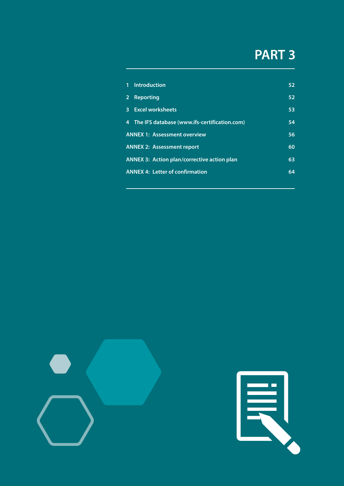# **PART 3**

| <b>Introduction</b><br>1.                          | 52 |
|----------------------------------------------------|----|
| <b>Reporting</b><br>2                              | 52 |
| <b>Excel worksheets</b><br>3.                      | 53 |
| The IFS database (www.ifs-certification.com)<br>4  | 54 |
| <b>ANNEX 1: Assessment overview</b>                | 56 |
| <b>ANNEX 2: Assessment report</b>                  | 60 |
| <b>ANNEX 3: Action plan/corrective action plan</b> | 63 |
| <b>ANNEX 4: Letter of confirmation</b>             | 64 |
|                                                    |    |



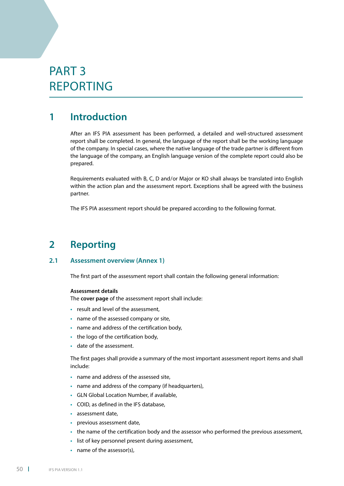# <span id="page-51-0"></span>PART 3 REPORTING

# **1 Introduction**

After an IFS PIA assessment has been performed, a detailed and well-structured assessment report shall be completed. In general, the language of the report shall be the working language of the company. In special cases, where the native language of the trade partner is different from the language of the company, an English language version of the complete report could also be prepared.

Requirements evaluated with B, C, D and/or Major or KO shall always be translated into English within the action plan and the assessment report. Exceptions shall be agreed with the business partner.

The IFS PIA assessment report should be prepared according to the following format.

# **2 Reporting**

#### **2.1 Assessment overview (Annex 1)**

The first part of the assessment report shall contain the following general information:

#### **Assessment details**

The **cover page** of the assessment report shall include:

- **•** result and level of the assessment,
- **•** name of the assessed company or site,
- **•** name and address of the certification body,
- **•** the logo of the certification body,
- **•** date of the assessment.

The first pages shall provide a summary of the most important assessment report items and shall include:

- **•** name and address of the assessed site,
- **•** name and address of the company (if headquarters),
- **•** GLN Global Location Number, if available,
- **•** COID, as defined in the IFS database,
- **•** assessment date,
- **•** previous assessment date,
- **•** the name of the certification body and the assessor who performed the previous assessment,
- **•** list of key personnel present during assessment,
- **•** name of the assessor(s),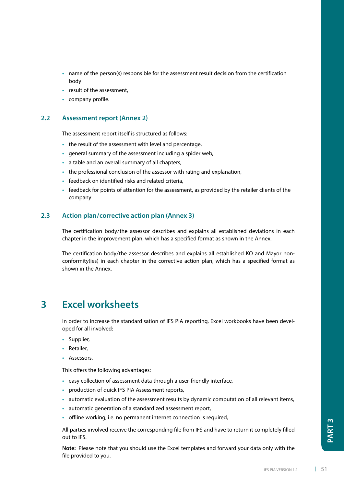- <span id="page-52-0"></span>**•** name of the person(s) responsible for the assessment result decision from the certification body
- **•** result of the assessment,
- **•** company profile.

#### **2.2 Assessment report (Annex 2)**

The assessment report itself is structured as follows:

- **•** the result of the assessment with level and percentage,
- **•** general summary of the assessment including a spider web,
- **•** a table and an overall summary of all chapters,
- **•** the professional conclusion of the assessor with rating and explanation,
- **•** feedback on identified risks and related criteria,
- **•** feedback for points of attention for the assessment, as provided by the retailer clients of the company

#### **2.3 Action plan/corrective action plan (Annex 3)**

The certification body/the assessor describes and explains all established deviations in each chapter in the improvement plan, which has a specified format as shown in the Annex.

The certification body/the assessor describes and explains all established KO and Mayor nonconformity(ies) in each chapter in the corrective action plan, which has a specified format as shown in the Annex.

# **3 Excel worksheets**

In order to increase the standardisation of IFS PIA reporting, Excel workbooks have been developed for all involved:

- **•** Supplier,
- **•** Retailer,
- **•** Assessors.

This offers the following advantages:

- **•** easy collection of assessment data through a user-friendly interface,
- **•** production of quick IFS PIA Assessment reports,
- **•** automatic evaluation of the assessment results by dynamic computation of all relevant items,
- **•** automatic generation of a standardized assessment report,
- **•** offline working, i.e. no permanent internet connection is required,

All parties involved receive the corresponding file from IFS and have to return it completely filled out to IFS.

**Note:** Please note that you should use the Excel templates and forward your data only with the file provided to you.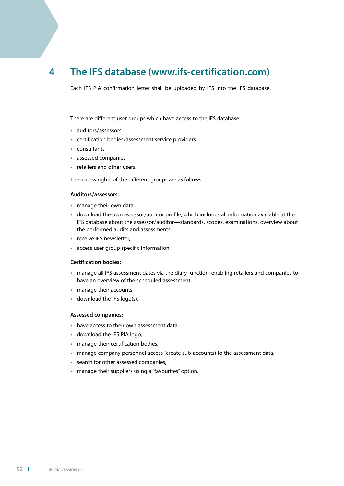# <span id="page-53-0"></span>**4 The IFS database (www.ifs-certification.com)**

Each IFS PIA confirmation letter shall be uploaded by IFS into the IFS database.

There are different user groups which have access to the IFS database:

- **•** auditors/assessors
- **•** certification bodies/assessment service providers
- **•** consultants
- **•** assessed companies
- **•** retailers and other users.

The access rights of the different groups are as follows:

#### **Auditors/assessors:**

- **•** manage their own data,
- **•** download the own assessor/auditor profile, which includes all information available at the IFS database about the assessor/auditor—standards, scopes, examinations, overview about the performed audits and assessments,
- **•** receive IFS newsletter,
- **•** access user group specific information.

#### **Certification bodies:**

- **•** manage all IFS assessment dates via the diary function, enabling retailers and companies to have an overview of the scheduled assessment,
- **•** manage their accounts,
- **•** download the IFS logo(s).

#### **Assessed companies:**

- **•** have access to their own assessment data,
- **•** download the IFS PIA logo,
- **•** manage their certification bodies,
- **•** manage company personnel access (create sub-accounts) to the assessment data,
- **•** search for other assessed companies,
- **•** manage their suppliers using a "favourites" option.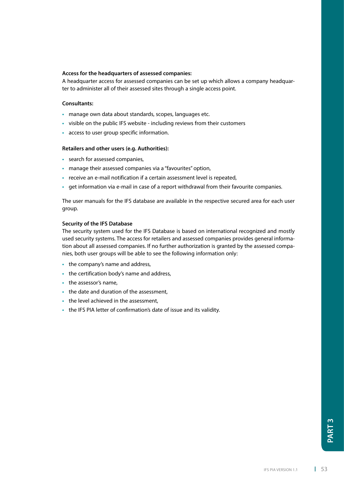#### **Access for the headquarters of assessed companies:**

A headquarter access for assessed companies can be set up which allows a company headquarter to administer all of their assessed sites through a single access point.

#### **Consultants:**

- **•** manage own data about standards, scopes, languages etc.
- **•** visible on the public IFS website including reviews from their customers
- **•** access to user group specific information.

#### **Retailers and other users (e.g. Authorities):**

- **•** search for assessed companies,
- **•** manage their assessed companies via a "favourites" option,
- **•** receive an e-mail notification if a certain assessment level is repeated,
- **•** get information via e-mail in case of a report withdrawal from their favourite companies.

The user manuals for the IFS database are available in the respective secured area for each user group.

#### **Security of the IFS Database**

The security system used for the IFS Database is based on international recognized and mostly used security systems. The access for retailers and assessed companies provides general information about all assessed companies. If no further authorization is granted by the assessed companies, both user groups will be able to see the following information only:

- **•** the company's name and address,
- **•** the certification body's name and address,
- **•** the assessor's name,
- **•** the date and duration of the assessment,
- **•** the level achieved in the assessment,
- **•** the IFS PIA letter of confirmation's date of issue and its validity.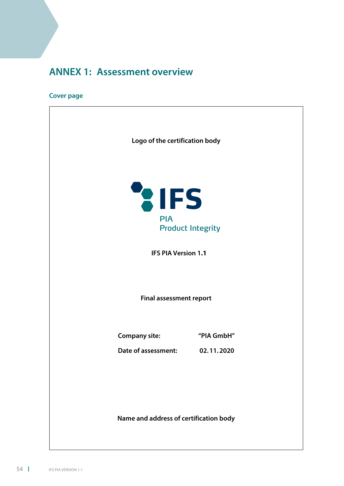# <span id="page-55-0"></span>**ANNEX 1: Assessment overview**

#### **Cover page**

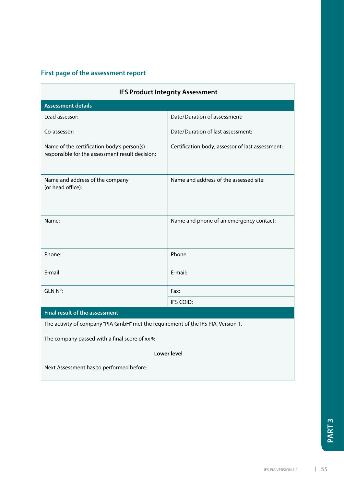### **First page of the assessment report**

| <b>IFS Product Integrity Assessment</b>                                                       |                                                  |  |  |
|-----------------------------------------------------------------------------------------------|--------------------------------------------------|--|--|
| <b>Assessment details</b>                                                                     |                                                  |  |  |
| Lead assessor:                                                                                | Date/Duration of assessment:                     |  |  |
| Co-assessor:                                                                                  | Date/Duration of last assessment:                |  |  |
| Name of the certification body's person(s)<br>responsible for the assessment result decision: | Certification body; assessor of last assessment: |  |  |
| Name and address of the company<br>(or head office):                                          | Name and address of the assessed site:           |  |  |
| Name:                                                                                         | Name and phone of an emergency contact:          |  |  |
| Phone:                                                                                        | Phone:                                           |  |  |
| E-mail:                                                                                       | E-mail:                                          |  |  |
| GLN N°:                                                                                       | Fax:                                             |  |  |
|                                                                                               | IFS COID:                                        |  |  |
| Final result of the assessment                                                                |                                                  |  |  |
| The activity of company "PIA GmbH" met the requirement of the IFS PIA, Version 1.             |                                                  |  |  |
| The company passed with a final score of xx%                                                  |                                                  |  |  |
| <b>Lower level</b>                                                                            |                                                  |  |  |
| Next Assessment has to performed before:                                                      |                                                  |  |  |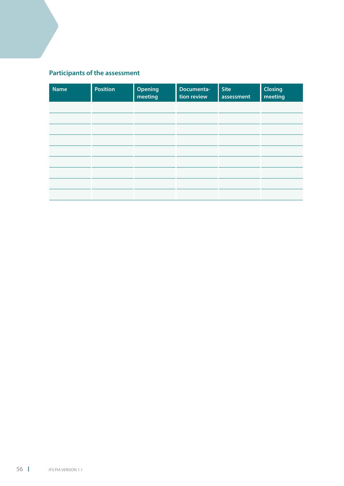### **Participants of the assessment**

| <b>Name</b> | <b>Position</b> | <b>Opening</b><br>meeting | Documenta-<br>tion review | <b>Site</b><br>assessment | <b>Closing</b><br>meeting |
|-------------|-----------------|---------------------------|---------------------------|---------------------------|---------------------------|
|             |                 |                           |                           |                           |                           |
|             |                 |                           |                           |                           |                           |
|             |                 |                           |                           |                           |                           |
|             |                 |                           |                           |                           |                           |
|             |                 |                           |                           |                           |                           |
|             |                 |                           |                           |                           |                           |
|             |                 |                           |                           |                           |                           |
|             |                 |                           |                           |                           |                           |
|             |                 |                           |                           |                           |                           |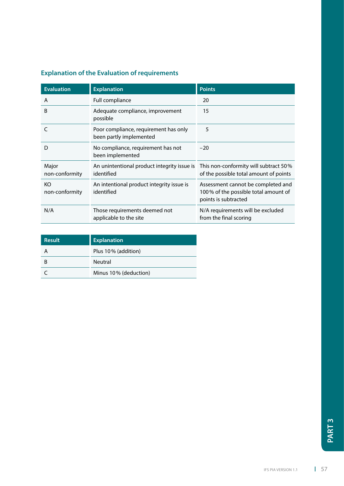| <b>Evaluation</b>       | <b>Explanation</b>                                               | <b>Points</b>                                                                                      |
|-------------------------|------------------------------------------------------------------|----------------------------------------------------------------------------------------------------|
| A                       | Full compliance                                                  | 20                                                                                                 |
| B                       | Adequate compliance, improvement<br>possible                     | 15                                                                                                 |
|                         | Poor compliance, requirement has only<br>been partly implemented | 5                                                                                                  |
| D                       | No compliance, requirement has not<br>been implemented           | $-20$                                                                                              |
| Major<br>non-conformity | An unintentional product integrity issue is<br>identified        | This non-conformity will subtract 50%<br>of the possible total amount of points                    |
| KO<br>non-conformity    | An intentional product integrity issue is<br>identified          | Assessment cannot be completed and<br>100% of the possible total amount of<br>points is subtracted |
| N/A                     | Those requirements deemed not<br>applicable to the site          | N/A requirements will be excluded<br>from the final scoring                                        |

### **Explanation of the Evaluation of requirements**

| <b>Result</b> | <b>Explanation</b>    |
|---------------|-----------------------|
|               | Plus 10% (addition)   |
| B             | Neutral               |
|               | Minus 10% (deduction) |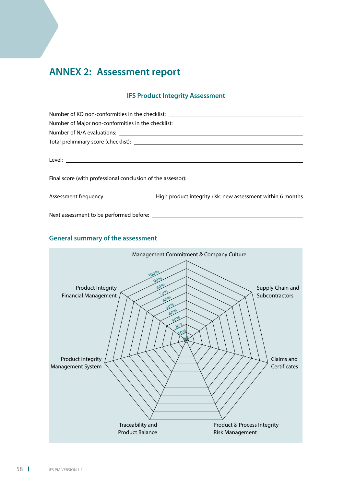# <span id="page-59-0"></span>**ANNEX 2: Assessment report**

#### **IFS Product Integrity Assessment**

| Number of KO non-conformities in the checklist: Name is a series of the check of the series of the series of t |
|----------------------------------------------------------------------------------------------------------------|
| Number of Major non-conformities in the checklist: _____________________________                               |
|                                                                                                                |
|                                                                                                                |
|                                                                                                                |
|                                                                                                                |
|                                                                                                                |

Next assessment to be performed before:

#### **General summary of the assessment**

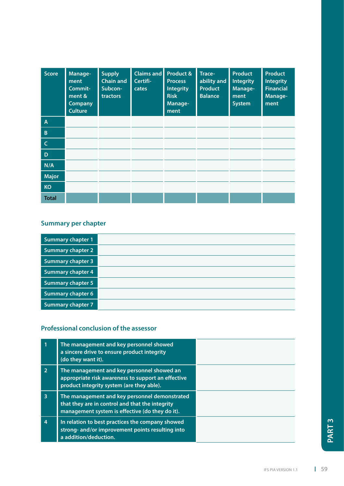| <b>Score</b> | Manage-<br>ment<br>Commit-<br>ment &<br><b>Company</b><br><b>Culture</b> | <b>Supply</b><br><b>Chain and</b><br>Subcon-<br>tractors | <b>Claims and</b><br>Certifi-<br>cates | <b>Product &amp;</b><br><b>Process</b><br><b>Integrity</b><br><b>Risk</b><br>Manage-<br>ment | Trace-<br>ability and<br><b>Product</b><br><b>Balance</b> | <b>Product</b><br><b>Integrity</b><br>Manage-<br>ment<br><b>System</b> | <b>Product</b><br><b>Integrity</b><br><b>Financial</b><br>Manage-<br>ment |
|--------------|--------------------------------------------------------------------------|----------------------------------------------------------|----------------------------------------|----------------------------------------------------------------------------------------------|-----------------------------------------------------------|------------------------------------------------------------------------|---------------------------------------------------------------------------|
| A            |                                                                          |                                                          |                                        |                                                                                              |                                                           |                                                                        |                                                                           |
| B            |                                                                          |                                                          |                                        |                                                                                              |                                                           |                                                                        |                                                                           |
| $\mathsf{C}$ |                                                                          |                                                          |                                        |                                                                                              |                                                           |                                                                        |                                                                           |
| D            |                                                                          |                                                          |                                        |                                                                                              |                                                           |                                                                        |                                                                           |
| N/A          |                                                                          |                                                          |                                        |                                                                                              |                                                           |                                                                        |                                                                           |
| <b>Major</b> |                                                                          |                                                          |                                        |                                                                                              |                                                           |                                                                        |                                                                           |
| <b>KO</b>    |                                                                          |                                                          |                                        |                                                                                              |                                                           |                                                                        |                                                                           |
| <b>Total</b> |                                                                          |                                                          |                                        |                                                                                              |                                                           |                                                                        |                                                                           |

### **Summary per chapter**

| <b>Summary chapter 1</b> |  |
|--------------------------|--|
| <b>Summary chapter 2</b> |  |
| <b>Summary chapter 3</b> |  |
| <b>Summary chapter 4</b> |  |
| <b>Summary chapter 5</b> |  |
| <b>Summary chapter 6</b> |  |
| <b>Summary chapter 7</b> |  |

### **Professional conclusion of the assessor**

|                | The management and key personnel showed<br>a sincere drive to ensure product integrity<br>(do they want it).                                        |  |
|----------------|-----------------------------------------------------------------------------------------------------------------------------------------------------|--|
|                | The management and key personnel showed an<br>appropriate risk awareness to support an effective<br>product integrity system (are they able).       |  |
| $\overline{3}$ | The management and key personnel demonstrated<br>that they are in control and that the integrity<br>management system is effective (do they do it). |  |
| 4              | In relation to best practices the company showed<br>strong- and/or improvement points resulting into<br>a addition/deduction.                       |  |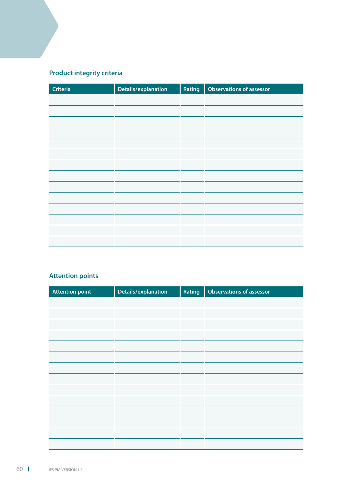### **Product integrity criteria**

| <b>Criteria</b> | Details/explanation | Rating   Observations of assessor |
|-----------------|---------------------|-----------------------------------|
|                 |                     |                                   |
|                 |                     |                                   |
|                 |                     |                                   |
|                 |                     |                                   |
|                 |                     |                                   |
|                 |                     |                                   |
|                 |                     |                                   |
|                 |                     |                                   |
|                 |                     |                                   |
|                 |                     |                                   |
|                 |                     |                                   |
|                 |                     |                                   |
|                 |                     |                                   |
|                 |                     |                                   |
|                 |                     |                                   |

### **Attention points**

| <b>Attention point</b> | Details/explanation | Rating | Observations of assessor |  |
|------------------------|---------------------|--------|--------------------------|--|
|                        |                     |        |                          |  |
|                        |                     |        |                          |  |
|                        |                     |        |                          |  |
|                        |                     |        |                          |  |
|                        |                     |        |                          |  |
|                        |                     |        |                          |  |
|                        |                     |        |                          |  |
|                        |                     |        |                          |  |
|                        |                     |        |                          |  |
|                        |                     |        |                          |  |
|                        |                     |        |                          |  |
|                        |                     |        |                          |  |
|                        |                     |        |                          |  |
|                        |                     |        |                          |  |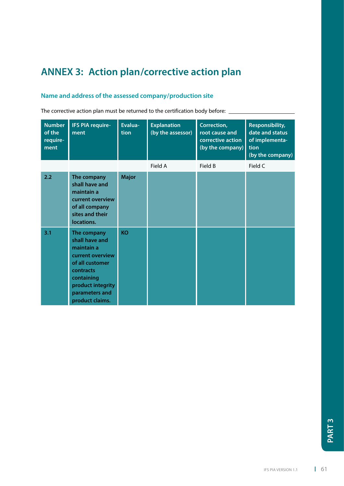# <span id="page-62-0"></span>**ANNEX 3: Action plan/corrective action plan**

#### **Name and address of the assessed company/production site**

The corrective action plan must be returned to the certification body before: \_\_\_\_\_\_\_\_\_

| <b>Number</b><br>of the<br>require-<br>ment | <b>IFS PIA require-</b><br>ment                                                                                                                                         | Evalua-<br>tion | <b>Explanation</b><br>(by the assessor) | Correction,<br>root cause and<br>corrective action<br>(by the company) | Responsibility,<br>date and status<br>of implementa-<br>tion<br>(by the company) |
|---------------------------------------------|-------------------------------------------------------------------------------------------------------------------------------------------------------------------------|-----------------|-----------------------------------------|------------------------------------------------------------------------|----------------------------------------------------------------------------------|
|                                             |                                                                                                                                                                         |                 | Field A                                 | Field B                                                                | Field C                                                                          |
| 2.2                                         | The company<br>shall have and<br>maintain a<br>current overview<br>of all company<br>sites and their<br>locations.                                                      | <b>Major</b>    |                                         |                                                                        |                                                                                  |
| 3.1                                         | The company<br>shall have and<br>maintain a<br>current overview<br>of all customer<br>contracts<br>containing<br>product integrity<br>parameters and<br>product claims. | <b>KO</b>       |                                         |                                                                        |                                                                                  |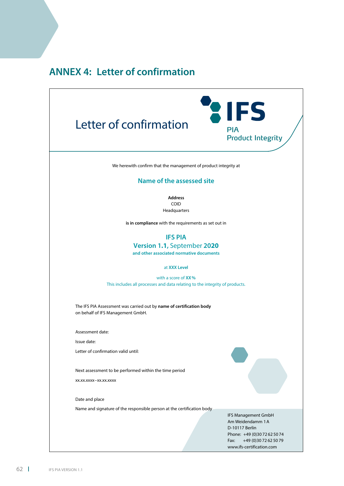# <span id="page-63-0"></span>**ANNEX 4: Letter of confirmation**

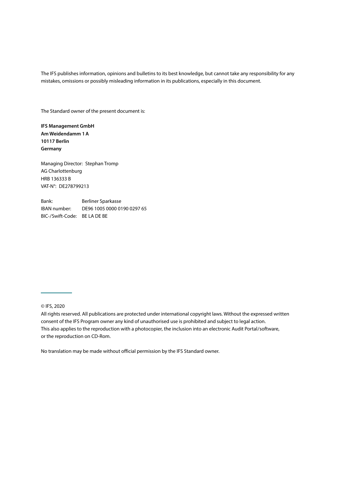The IFS publishes information, opinions and bulletins to its best knowledge, but cannot take any responsibility for any mistakes, omissions or possibly misleading information in its publications, especially in this document.

The Standard owner of the present document is:

**IFS Management GmbH Am Weidendamm 1A 10117 Berlin Germany**

Managing Director: Stephan Tromp AG Charlottenburg HRB 136333 B VAT-N°: DE278799213

Bank: Berliner Sparkasse IBAN number: DE96 1005 0000 0190 0297 65 BIC-/Swift-Code: BE LA DE BE

#### © IFS, 2020

All rights reserved. All publications are protected under international copyright laws. Without the expressed written consent of the IFS Program owner any kind of unauthorised use is prohibited and subject to legal action. This also applies to the reproduction with a photocopier, the inclusion into an electronic Audit Portal/software, or the reproduction on CD-Rom.

No translation may be made without official permission by the IFS Standard owner.